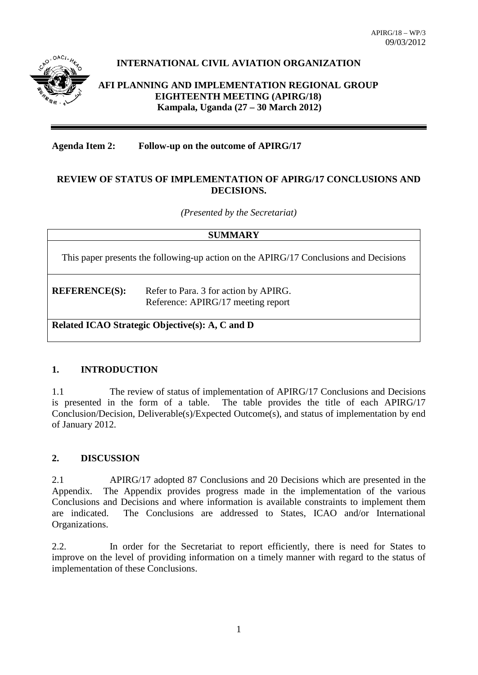

# **INTERNATIONAL CIVIL AVIATION ORGANIZATION**

**AFI PLANNING AND IMPLEMENTATION REGIONAL GROUP EIGHTEENTH MEETING (APIRG/18) Kampala, Uganda (27 – 30 March 2012)**

## **Agenda Item 2: Follow-up on the outcome of APIRG/17**

## **REVIEW OF STATUS OF IMPLEMENTATION OF APIRG/17 CONCLUSIONS AND DECISIONS.**

*(Presented by the Secretariat)*

This paper presents the following-up action on the APIRG/17 Conclusions and Decisions

**REFERENCE(S):** Refer to Para. 3 for action by APIRG. Reference: APIRG/17 meeting report

**Related ICAO Strategic Objective(s): A, C and D**

#### **1. INTRODUCTION**

1.1 The review of status of implementation of APIRG/17 Conclusions and Decisions is presented in the form of a table. The table provides the title of each APIRG/17 Conclusion/Decision, Deliverable(s)/Expected Outcome(s), and status of implementation by end of January 2012.

#### **2. DISCUSSION**

2.1 APIRG/17 adopted 87 Conclusions and 20 Decisions which are presented in the Appendix. The Appendix provides progress made in the implementation of the various Conclusions and Decisions and where information is available constraints to implement them are indicated. The Conclusions are addressed to States, ICAO and/or International Organizations.

2.2. In order for the Secretariat to report efficiently, there is need for States to improve on the level of providing information on a timely manner with regard to the status of implementation of these Conclusions.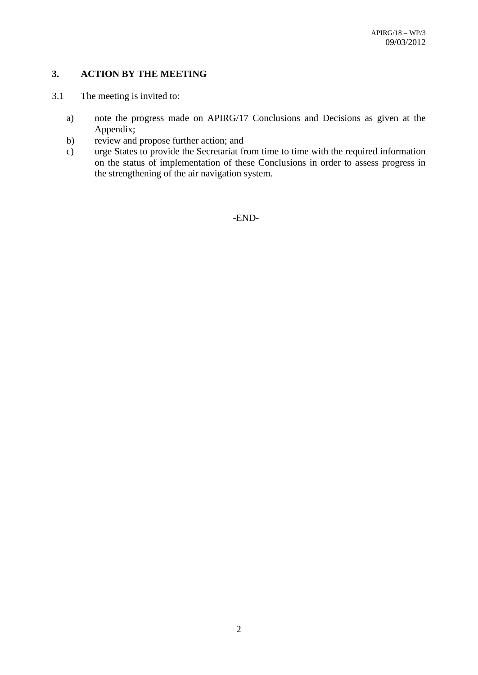## **3. ACTION BY THE MEETING**

- 3.1 The meeting is invited to:
	- a) note the progress made on APIRG/17 Conclusions and Decisions as given at the Appendix;
	- b) review and propose further action; and
	- c) urge States to provide the Secretariat from time to time with the required information on the status of implementation of these Conclusions in order to assess progress in the strengthening of the air navigation system.

-END-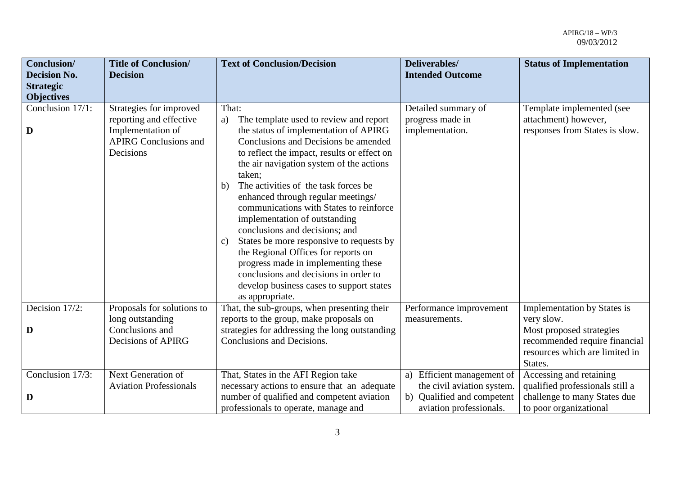| Conclusion/<br><b>Decision No.</b>         | <b>Title of Conclusion/</b><br><b>Decision</b>                                                                       | <b>Text of Conclusion/Decision</b>                                                                                                                                                                                                                                                                                                                                                                                                                                                                                                                                                                                                                                                     | Deliverables/<br><b>Intended Outcome</b>                                                                          | <b>Status of Implementation</b>                                                                                                                            |
|--------------------------------------------|----------------------------------------------------------------------------------------------------------------------|----------------------------------------------------------------------------------------------------------------------------------------------------------------------------------------------------------------------------------------------------------------------------------------------------------------------------------------------------------------------------------------------------------------------------------------------------------------------------------------------------------------------------------------------------------------------------------------------------------------------------------------------------------------------------------------|-------------------------------------------------------------------------------------------------------------------|------------------------------------------------------------------------------------------------------------------------------------------------------------|
| <b>Strategic</b>                           |                                                                                                                      |                                                                                                                                                                                                                                                                                                                                                                                                                                                                                                                                                                                                                                                                                        |                                                                                                                   |                                                                                                                                                            |
| <b>Objectives</b><br>Conclusion 17/1:<br>D | Strategies for improved<br>reporting and effective<br>Implementation of<br><b>APIRG Conclusions and</b><br>Decisions | That:<br>The template used to review and report<br>a)<br>the status of implementation of APIRG<br>Conclusions and Decisions be amended<br>to reflect the impact, results or effect on<br>the air navigation system of the actions<br>taken;<br>The activities of the task forces be.<br>b)<br>enhanced through regular meetings/<br>communications with States to reinforce<br>implementation of outstanding<br>conclusions and decisions; and<br>States be more responsive to requests by<br>c)<br>the Regional Offices for reports on<br>progress made in implementing these<br>conclusions and decisions in order to<br>develop business cases to support states<br>as appropriate. | Detailed summary of<br>progress made in<br>implementation.                                                        | Template implemented (see<br>attachment) however,<br>responses from States is slow.                                                                        |
| Decision 17/2:<br>D                        | Proposals for solutions to<br>long outstanding<br>Conclusions and<br>Decisions of APIRG                              | That, the sub-groups, when presenting their<br>reports to the group, make proposals on<br>strategies for addressing the long outstanding<br>Conclusions and Decisions.                                                                                                                                                                                                                                                                                                                                                                                                                                                                                                                 | Performance improvement<br>measurements.                                                                          | <b>Implementation by States is</b><br>very slow.<br>Most proposed strategies<br>recommended require financial<br>resources which are limited in<br>States. |
| Conclusion 17/3:<br>D                      | Next Generation of<br><b>Aviation Professionals</b>                                                                  | That, States in the AFI Region take<br>necessary actions to ensure that an adequate<br>number of qualified and competent aviation<br>professionals to operate, manage and                                                                                                                                                                                                                                                                                                                                                                                                                                                                                                              | a) Efficient management of<br>the civil aviation system.<br>b) Qualified and competent<br>aviation professionals. | Accessing and retaining<br>qualified professionals still a<br>challenge to many States due<br>to poor organizational                                       |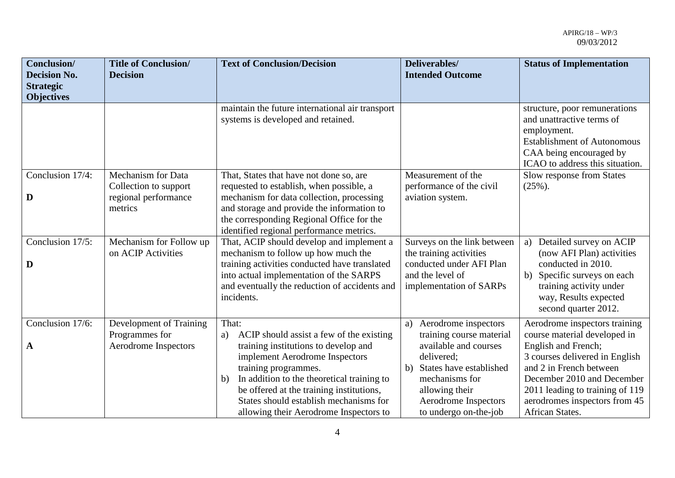| Conclusion/<br><b>Decision No.</b><br><b>Strategic</b><br><b>Objectives</b> | <b>Title of Conclusion/</b><br><b>Decision</b>                                        | <b>Text of Conclusion/Decision</b>                                                                                                                                                                                                                                                                                                            | Deliverables/<br><b>Intended Outcome</b>                                                                                                                                                                            | <b>Status of Implementation</b>                                                                                                                                                                                                                                        |
|-----------------------------------------------------------------------------|---------------------------------------------------------------------------------------|-----------------------------------------------------------------------------------------------------------------------------------------------------------------------------------------------------------------------------------------------------------------------------------------------------------------------------------------------|---------------------------------------------------------------------------------------------------------------------------------------------------------------------------------------------------------------------|------------------------------------------------------------------------------------------------------------------------------------------------------------------------------------------------------------------------------------------------------------------------|
|                                                                             |                                                                                       | maintain the future international air transport<br>systems is developed and retained.                                                                                                                                                                                                                                                         |                                                                                                                                                                                                                     | structure, poor remunerations<br>and unattractive terms of<br>employment.<br><b>Establishment of Autonomous</b><br>CAA being encouraged by<br>ICAO to address this situation.                                                                                          |
| Conclusion 17/4:<br>D                                                       | <b>Mechanism for Data</b><br>Collection to support<br>regional performance<br>metrics | That, States that have not done so, are<br>requested to establish, when possible, a<br>mechanism for data collection, processing<br>and storage and provide the information to<br>the corresponding Regional Office for the<br>identified regional performance metrics.                                                                       | Measurement of the<br>performance of the civil<br>aviation system.                                                                                                                                                  | Slow response from States<br>$(25\%)$ .                                                                                                                                                                                                                                |
| Conclusion 17/5:<br>D                                                       | Mechanism for Follow up<br>on ACIP Activities                                         | That, ACIP should develop and implement a<br>mechanism to follow up how much the<br>training activities conducted have translated<br>into actual implementation of the SARPS<br>and eventually the reduction of accidents and<br>incidents.                                                                                                   | Surveys on the link between<br>the training activities<br>conducted under AFI Plan<br>and the level of<br>implementation of SARPs                                                                                   | Detailed survey on ACIP<br>a)<br>(now AFI Plan) activities<br>conducted in 2010.<br>Specific surveys on each<br>b)<br>training activity under<br>way, Results expected<br>second quarter 2012.                                                                         |
| Conclusion 17/6:<br>A                                                       | Development of Training<br>Programmes for<br>Aerodrome Inspectors                     | That:<br>ACIP should assist a few of the existing<br>a)<br>training institutions to develop and<br>implement Aerodrome Inspectors<br>training programmes.<br>In addition to the theoretical training to<br>b)<br>be offered at the training institutions,<br>States should establish mechanisms for<br>allowing their Aerodrome Inspectors to | Aerodrome inspectors<br>a)<br>training course material<br>available and courses<br>delivered;<br>States have established<br>b)<br>mechanisms for<br>allowing their<br>Aerodrome Inspectors<br>to undergo on-the-job | Aerodrome inspectors training<br>course material developed in<br>English and French;<br>3 courses delivered in English<br>and 2 in French between<br>December 2010 and December<br>2011 leading to training of 119<br>aerodromes inspectors from 45<br>African States. |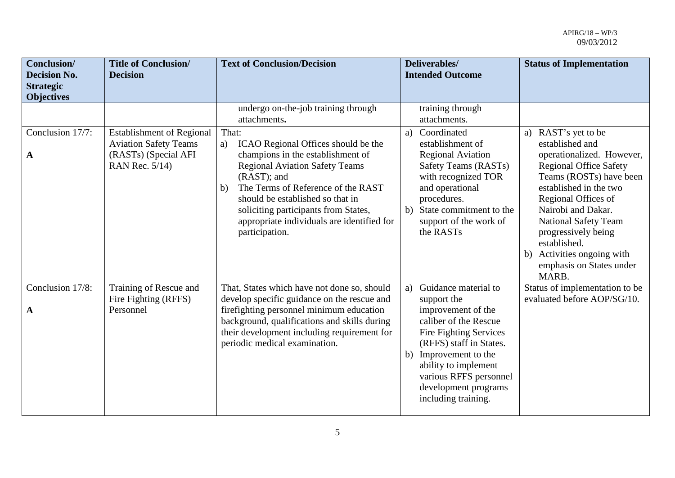| Conclusion/<br><b>Decision No.</b><br><b>Strategic</b><br><b>Objectives</b> | <b>Title of Conclusion/</b><br><b>Decision</b>                                                             | <b>Text of Conclusion/Decision</b>                                                                                                                                                                                                                                                                                                      | Deliverables/<br><b>Intended Outcome</b>                                                                                                                                                                                                                                | <b>Status of Implementation</b>                                                                                                                                                                                                                                                                                                                    |
|-----------------------------------------------------------------------------|------------------------------------------------------------------------------------------------------------|-----------------------------------------------------------------------------------------------------------------------------------------------------------------------------------------------------------------------------------------------------------------------------------------------------------------------------------------|-------------------------------------------------------------------------------------------------------------------------------------------------------------------------------------------------------------------------------------------------------------------------|----------------------------------------------------------------------------------------------------------------------------------------------------------------------------------------------------------------------------------------------------------------------------------------------------------------------------------------------------|
|                                                                             |                                                                                                            | undergo on-the-job training through<br>attachments.                                                                                                                                                                                                                                                                                     | training through<br>attachments.                                                                                                                                                                                                                                        |                                                                                                                                                                                                                                                                                                                                                    |
| Conclusion 17/7:<br>$\mathbf A$                                             | <b>Establishment of Regional</b><br><b>Aviation Safety Teams</b><br>(RASTs) (Special AFI<br>RAN Rec. 5/14) | That:<br>ICAO Regional Offices should be the<br>a)<br>champions in the establishment of<br><b>Regional Aviation Safety Teams</b><br>(RAST); and<br>The Terms of Reference of the RAST<br>b)<br>should be established so that in<br>soliciting participants from States,<br>appropriate individuals are identified for<br>participation. | Coordinated<br>a)<br>establishment of<br><b>Regional Aviation</b><br>Safety Teams (RASTs)<br>with recognized TOR<br>and operational<br>procedures.<br>b) State commitment to the<br>support of the work of<br>the RASTs                                                 | a) RAST's yet to be<br>established and<br>operationalized. However,<br><b>Regional Office Safety</b><br>Teams (ROSTs) have been<br>established in the two<br>Regional Offices of<br>Nairobi and Dakar.<br><b>National Safety Team</b><br>progressively being<br>established.<br>Activities ongoing with<br>b)<br>emphasis on States under<br>MARB. |
| Conclusion 17/8:<br>$\mathbf A$                                             | Training of Rescue and<br>Fire Fighting (RFFS)<br>Personnel                                                | That, States which have not done so, should<br>develop specific guidance on the rescue and<br>firefighting personnel minimum education<br>background, qualifications and skills during<br>their development including requirement for<br>periodic medical examination.                                                                  | Guidance material to<br>a)<br>support the<br>improvement of the<br>caliber of the Rescue<br>Fire Fighting Services<br>(RFFS) staff in States.<br>b) Improvement to the<br>ability to implement<br>various RFFS personnel<br>development programs<br>including training. | Status of implementation to be<br>evaluated before AOP/SG/10.                                                                                                                                                                                                                                                                                      |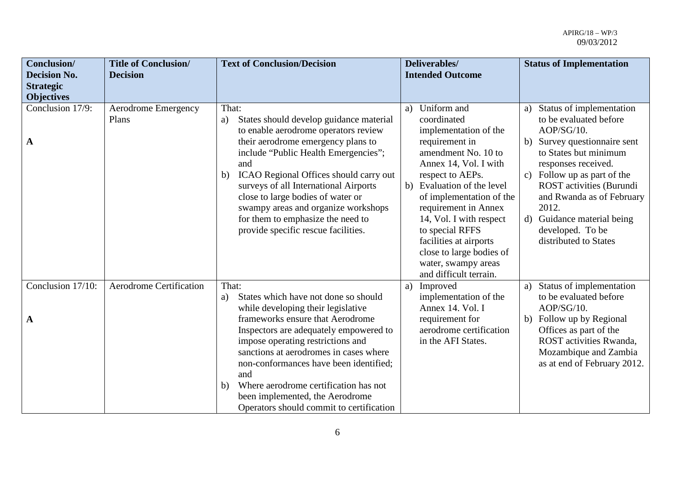| <b>Conclusion/</b><br><b>Decision No.</b><br><b>Strategic</b> | <b>Title of Conclusion/</b><br><b>Decision</b> | <b>Text of Conclusion/Decision</b>                                                                                                                                                                                                                                                                                                                                                                                                   | Deliverables/<br><b>Intended Outcome</b>                                                                                                                                                                                                                                                                                                                                            | <b>Status of Implementation</b>                                                                                                                                                                                                                                                                                                           |
|---------------------------------------------------------------|------------------------------------------------|--------------------------------------------------------------------------------------------------------------------------------------------------------------------------------------------------------------------------------------------------------------------------------------------------------------------------------------------------------------------------------------------------------------------------------------|-------------------------------------------------------------------------------------------------------------------------------------------------------------------------------------------------------------------------------------------------------------------------------------------------------------------------------------------------------------------------------------|-------------------------------------------------------------------------------------------------------------------------------------------------------------------------------------------------------------------------------------------------------------------------------------------------------------------------------------------|
| <b>Objectives</b>                                             |                                                |                                                                                                                                                                                                                                                                                                                                                                                                                                      |                                                                                                                                                                                                                                                                                                                                                                                     |                                                                                                                                                                                                                                                                                                                                           |
| Conclusion 17/9:<br>A                                         | Aerodrome Emergency<br>Plans                   | That:<br>States should develop guidance material<br>a)<br>to enable aerodrome operators review<br>their aerodrome emergency plans to<br>include "Public Health Emergencies";<br>and<br>ICAO Regional Offices should carry out<br>b)<br>surveys of all International Airports<br>close to large bodies of water or<br>swampy areas and organize workshops<br>for them to emphasize the need to<br>provide specific rescue facilities. | a) Uniform and<br>coordinated<br>implementation of the<br>requirement in<br>amendment No. 10 to<br>Annex 14, Vol. I with<br>respect to AEPs.<br>b) Evaluation of the level<br>of implementation of the<br>requirement in Annex<br>14, Vol. I with respect<br>to special RFFS<br>facilities at airports<br>close to large bodies of<br>water, swampy areas<br>and difficult terrain. | Status of implementation<br>a)<br>to be evaluated before<br>AOP/SG/10.<br>b) Survey questionnaire sent<br>to States but minimum<br>responses received.<br>c) Follow up as part of the<br><b>ROST</b> activities (Burundi<br>and Rwanda as of February<br>2012.<br>d) Guidance material being<br>developed. To be<br>distributed to States |
| Conclusion 17/10:                                             | <b>Aerodrome Certification</b>                 | That:<br>States which have not done so should<br>a)                                                                                                                                                                                                                                                                                                                                                                                  | a) Improved<br>implementation of the                                                                                                                                                                                                                                                                                                                                                | Status of implementation<br>a)<br>to be evaluated before                                                                                                                                                                                                                                                                                  |
|                                                               |                                                | while developing their legislative                                                                                                                                                                                                                                                                                                                                                                                                   | Annex 14. Vol. I                                                                                                                                                                                                                                                                                                                                                                    | AOP/SG/10.                                                                                                                                                                                                                                                                                                                                |
| $\mathbf A$                                                   |                                                | frameworks ensure that Aerodrome<br>Inspectors are adequately empowered to<br>impose operating restrictions and<br>sanctions at aerodromes in cases where<br>non-conformances have been identified;<br>and<br>Where aerodrome certification has not<br>b)<br>been implemented, the Aerodrome<br>Operators should commit to certification                                                                                             | requirement for<br>aerodrome certification<br>in the AFI States.                                                                                                                                                                                                                                                                                                                    | b) Follow up by Regional<br>Offices as part of the<br>ROST activities Rwanda,<br>Mozambique and Zambia<br>as at end of February 2012.                                                                                                                                                                                                     |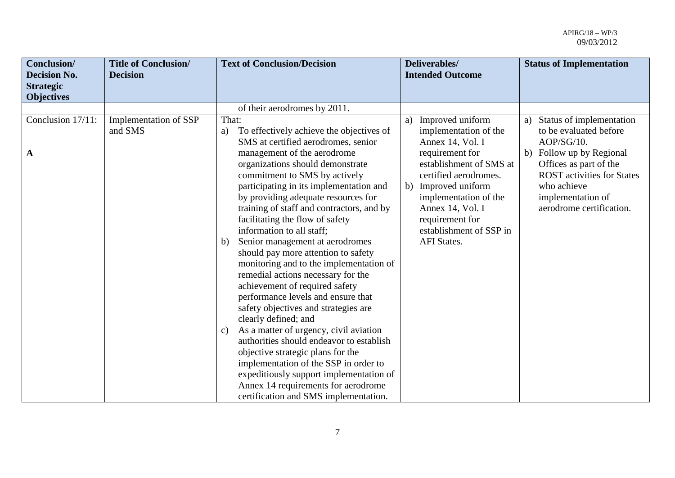| Conclusion/<br><b>Decision No.</b><br><b>Strategic</b> | <b>Title of Conclusion/</b><br><b>Decision</b> | <b>Text of Conclusion/Decision</b>                                                                                                                                                                                                                                                                                                                                                                                                                                                                                                                                                                                                                                                                                                                                                                                                                                                                            | Deliverables/<br><b>Intended Outcome</b>                                                                                                                                                                    | <b>Status of Implementation</b>                                                                                                                         |
|--------------------------------------------------------|------------------------------------------------|---------------------------------------------------------------------------------------------------------------------------------------------------------------------------------------------------------------------------------------------------------------------------------------------------------------------------------------------------------------------------------------------------------------------------------------------------------------------------------------------------------------------------------------------------------------------------------------------------------------------------------------------------------------------------------------------------------------------------------------------------------------------------------------------------------------------------------------------------------------------------------------------------------------|-------------------------------------------------------------------------------------------------------------------------------------------------------------------------------------------------------------|---------------------------------------------------------------------------------------------------------------------------------------------------------|
| <b>Objectives</b>                                      |                                                |                                                                                                                                                                                                                                                                                                                                                                                                                                                                                                                                                                                                                                                                                                                                                                                                                                                                                                               |                                                                                                                                                                                                             |                                                                                                                                                         |
|                                                        |                                                | of their aerodromes by 2011.                                                                                                                                                                                                                                                                                                                                                                                                                                                                                                                                                                                                                                                                                                                                                                                                                                                                                  |                                                                                                                                                                                                             |                                                                                                                                                         |
| Conclusion 17/11:                                      | Implementation of SSP<br>and SMS               | That:<br>To effectively achieve the objectives of<br>a)<br>SMS at certified aerodromes, senior                                                                                                                                                                                                                                                                                                                                                                                                                                                                                                                                                                                                                                                                                                                                                                                                                | a) Improved uniform<br>implementation of the<br>Annex 14, Vol. I                                                                                                                                            | Status of implementation<br>a)<br>to be evaluated before<br>AOP/SG/10.                                                                                  |
| $\mathbf A$                                            |                                                | management of the aerodrome<br>organizations should demonstrate<br>commitment to SMS by actively<br>participating in its implementation and<br>by providing adequate resources for<br>training of staff and contractors, and by<br>facilitating the flow of safety<br>information to all staff;<br>Senior management at aerodromes<br>b)<br>should pay more attention to safety<br>monitoring and to the implementation of<br>remedial actions necessary for the<br>achievement of required safety<br>performance levels and ensure that<br>safety objectives and strategies are<br>clearly defined; and<br>As a matter of urgency, civil aviation<br>C)<br>authorities should endeavor to establish<br>objective strategic plans for the<br>implementation of the SSP in order to<br>expeditiously support implementation of<br>Annex 14 requirements for aerodrome<br>certification and SMS implementation. | requirement for<br>establishment of SMS at<br>certified aerodromes.<br>b) Improved uniform<br>implementation of the<br>Annex 14, Vol. I<br>requirement for<br>establishment of SSP in<br><b>AFI</b> States. | b) Follow up by Regional<br>Offices as part of the<br><b>ROST</b> activities for States<br>who achieve<br>implementation of<br>aerodrome certification. |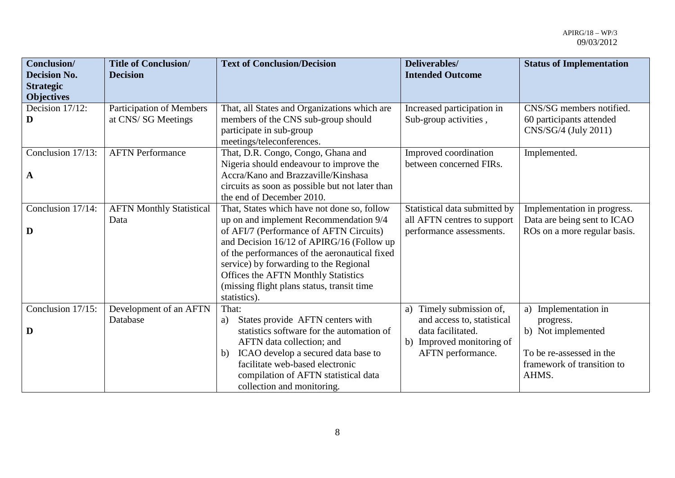| Conclusion/         | <b>Title of Conclusion/</b>     | <b>Text of Conclusion/Decision</b>              | Deliverables/                 | <b>Status of Implementation</b> |
|---------------------|---------------------------------|-------------------------------------------------|-------------------------------|---------------------------------|
| <b>Decision No.</b> | <b>Decision</b>                 |                                                 | <b>Intended Outcome</b>       |                                 |
| <b>Strategic</b>    |                                 |                                                 |                               |                                 |
| <b>Objectives</b>   |                                 |                                                 |                               |                                 |
| Decision 17/12:     | <b>Participation of Members</b> | That, all States and Organizations which are    | Increased participation in    | CNS/SG members notified.        |
| D                   | at CNS/SG Meetings              | members of the CNS sub-group should             | Sub-group activities,         | 60 participants attended        |
|                     |                                 | participate in sub-group                        |                               | CNS/SG/4 (July 2011)            |
|                     |                                 | meetings/teleconferences.                       |                               |                                 |
| Conclusion 17/13:   | <b>AFTN Performance</b>         | That, D.R. Congo, Congo, Ghana and              | Improved coordination         | Implemented.                    |
|                     |                                 | Nigeria should endeavour to improve the         | between concerned FIRs.       |                                 |
| $\mathbf{A}$        |                                 | Accra/Kano and Brazzaville/Kinshasa             |                               |                                 |
|                     |                                 | circuits as soon as possible but not later than |                               |                                 |
|                     |                                 | the end of December 2010.                       |                               |                                 |
| Conclusion 17/14:   | <b>AFTN Monthly Statistical</b> | That, States which have not done so, follow     | Statistical data submitted by | Implementation in progress.     |
|                     | Data                            | up on and implement Recommendation 9/4          | all AFTN centres to support   | Data are being sent to ICAO     |
| D                   |                                 | of AFI/7 (Performance of AFTN Circuits)         | performance assessments.      | ROs on a more regular basis.    |
|                     |                                 | and Decision 16/12 of APIRG/16 (Follow up       |                               |                                 |
|                     |                                 | of the performances of the aeronautical fixed   |                               |                                 |
|                     |                                 | service) by forwarding to the Regional          |                               |                                 |
|                     |                                 | Offices the AFTN Monthly Statistics             |                               |                                 |
|                     |                                 | (missing flight plans status, transit time      |                               |                                 |
|                     |                                 | statistics).                                    |                               |                                 |
| Conclusion 17/15:   | Development of an AFTN          | That:                                           | a) Timely submission of,      | Implementation in<br>a)         |
|                     | Database                        | States provide AFTN centers with<br>a)          | and access to, statistical    | progress.                       |
| D                   |                                 | statistics software for the automation of       | data facilitated.             | b) Not implemented              |
|                     |                                 | AFTN data collection; and                       | b) Improved monitoring of     |                                 |
|                     |                                 | ICAO develop a secured data base to<br>b)       | AFTN performance.             | To be re-assessed in the        |
|                     |                                 | facilitate web-based electronic                 |                               | framework of transition to      |
|                     |                                 | compilation of AFTN statistical data            |                               | AHMS.                           |
|                     |                                 | collection and monitoring.                      |                               |                                 |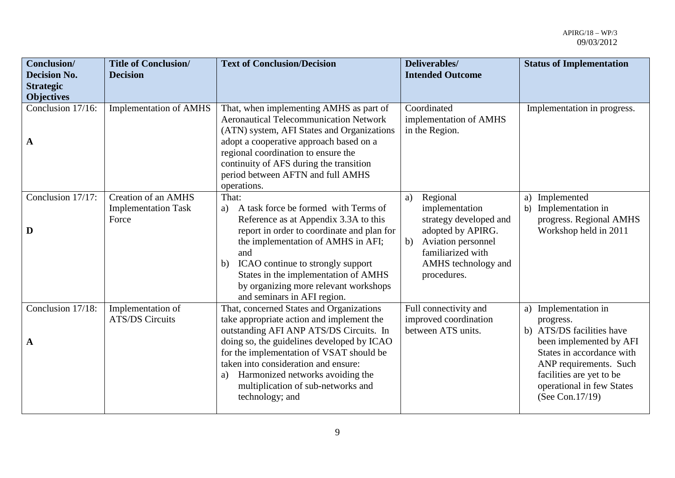| <b>Conclusion/</b><br><b>Decision No.</b> | <b>Title of Conclusion/</b><br><b>Decision</b> | <b>Text of Conclusion/Decision</b>                                                       | Deliverables/<br><b>Intended Outcome</b> | <b>Status of Implementation</b>                    |
|-------------------------------------------|------------------------------------------------|------------------------------------------------------------------------------------------|------------------------------------------|----------------------------------------------------|
| <b>Strategic</b>                          |                                                |                                                                                          |                                          |                                                    |
| <b>Objectives</b>                         |                                                |                                                                                          |                                          |                                                    |
| Conclusion 17/16:                         | <b>Implementation of AMHS</b>                  | That, when implementing AMHS as part of<br><b>Aeronautical Telecommunication Network</b> | Coordinated                              | Implementation in progress.                        |
|                                           |                                                |                                                                                          | implementation of AMHS<br>in the Region. |                                                    |
|                                           |                                                | (ATN) system, AFI States and Organizations<br>adopt a cooperative approach based on a    |                                          |                                                    |
| $\mathbf A$                               |                                                | regional coordination to ensure the                                                      |                                          |                                                    |
|                                           |                                                | continuity of AFS during the transition                                                  |                                          |                                                    |
|                                           |                                                | period between AFTN and full AMHS                                                        |                                          |                                                    |
|                                           |                                                | operations.                                                                              |                                          |                                                    |
| Conclusion 17/17:                         | <b>Creation of an AMHS</b>                     | That:                                                                                    | Regional<br>a)                           | Implemented<br>a)                                  |
|                                           | <b>Implementation Task</b>                     | A task force be formed with Terms of<br>a)                                               | implementation                           | Implementation in<br>b)                            |
|                                           | Force                                          | Reference as at Appendix 3.3A to this                                                    | strategy developed and                   | progress. Regional AMHS                            |
| D                                         |                                                | report in order to coordinate and plan for                                               | adopted by APIRG.                        | Workshop held in 2011                              |
|                                           |                                                | the implementation of AMHS in AFI;                                                       | Aviation personnel<br>b)                 |                                                    |
|                                           |                                                | and                                                                                      | familiarized with                        |                                                    |
|                                           |                                                | ICAO continue to strongly support<br>b)                                                  | AMHS technology and                      |                                                    |
|                                           |                                                | States in the implementation of AMHS                                                     | procedures.                              |                                                    |
|                                           |                                                | by organizing more relevant workshops                                                    |                                          |                                                    |
|                                           |                                                | and seminars in AFI region.                                                              |                                          |                                                    |
| Conclusion 17/18:                         | Implementation of                              | That, concerned States and Organizations                                                 | Full connectivity and                    | Implementation in<br>a)                            |
|                                           | <b>ATS/DS Circuits</b>                         | take appropriate action and implement the                                                | improved coordination                    | progress.                                          |
|                                           |                                                | outstanding AFI ANP ATS/DS Circuits. In                                                  | between ATS units.                       | b) ATS/DS facilities have                          |
| $\mathbf A$                               |                                                | doing so, the guidelines developed by ICAO                                               |                                          | been implemented by AFI                            |
|                                           |                                                | for the implementation of VSAT should be<br>taken into consideration and ensure:         |                                          | States in accordance with                          |
|                                           |                                                | Harmonized networks avoiding the<br>a)                                                   |                                          | ANP requirements. Such<br>facilities are yet to be |
|                                           |                                                | multiplication of sub-networks and                                                       |                                          | operational in few States                          |
|                                           |                                                | technology; and                                                                          |                                          | (See Con.17/19)                                    |
|                                           |                                                |                                                                                          |                                          |                                                    |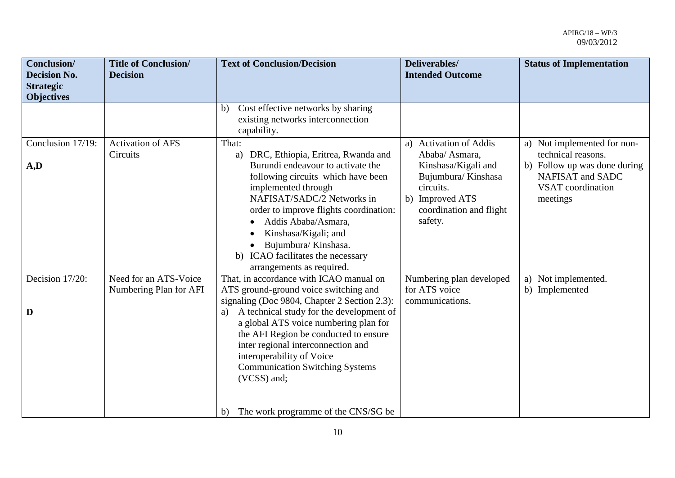| Conclusion/<br><b>Decision No.</b><br><b>Strategic</b><br><b>Objectives</b> | <b>Title of Conclusion/</b><br><b>Decision</b>  | <b>Text of Conclusion/Decision</b>                                                                                                                                                                                                                                                                                                                                                                                                            | Deliverables/<br><b>Intended Outcome</b>                                                                                                                    | <b>Status of Implementation</b>                                                                                                        |
|-----------------------------------------------------------------------------|-------------------------------------------------|-----------------------------------------------------------------------------------------------------------------------------------------------------------------------------------------------------------------------------------------------------------------------------------------------------------------------------------------------------------------------------------------------------------------------------------------------|-------------------------------------------------------------------------------------------------------------------------------------------------------------|----------------------------------------------------------------------------------------------------------------------------------------|
|                                                                             |                                                 | Cost effective networks by sharing<br>b)<br>existing networks interconnection<br>capability.                                                                                                                                                                                                                                                                                                                                                  |                                                                                                                                                             |                                                                                                                                        |
| Conclusion 17/19:<br>A,D                                                    | <b>Activation of AFS</b><br>Circuits            | That:<br>DRC, Ethiopia, Eritrea, Rwanda and<br>a)<br>Burundi endeavour to activate the<br>following circuits which have been<br>implemented through<br>NAFISAT/SADC/2 Networks in<br>order to improve flights coordination:<br>Addis Ababa/Asmara,<br>Kinshasa/Kigali; and<br>$\bullet$<br>Bujumbura/Kinshasa.<br>ICAO facilitates the necessary<br>b)<br>arrangements as required.                                                           | a) Activation of Addis<br>Ababa/ Asmara,<br>Kinshasa/Kigali and<br>Bujumbura/Kinshasa<br>circuits.<br>b) Improved ATS<br>coordination and flight<br>safety. | a) Not implemented for non-<br>technical reasons.<br>b) Follow up was done during<br>NAFISAT and SADC<br>VSAT coordination<br>meetings |
| Decision 17/20:<br>D                                                        | Need for an ATS-Voice<br>Numbering Plan for AFI | That, in accordance with ICAO manual on<br>ATS ground-ground voice switching and<br>signaling (Doc 9804, Chapter 2 Section 2.3):<br>A technical study for the development of<br>a)<br>a global ATS voice numbering plan for<br>the AFI Region be conducted to ensure<br>inter regional interconnection and<br>interoperability of Voice<br><b>Communication Switching Systems</b><br>(VCSS) and;<br>The work programme of the CNS/SG be<br>b) | Numbering plan developed<br>for ATS voice<br>communications.                                                                                                | a) Not implemented.<br>b) Implemented                                                                                                  |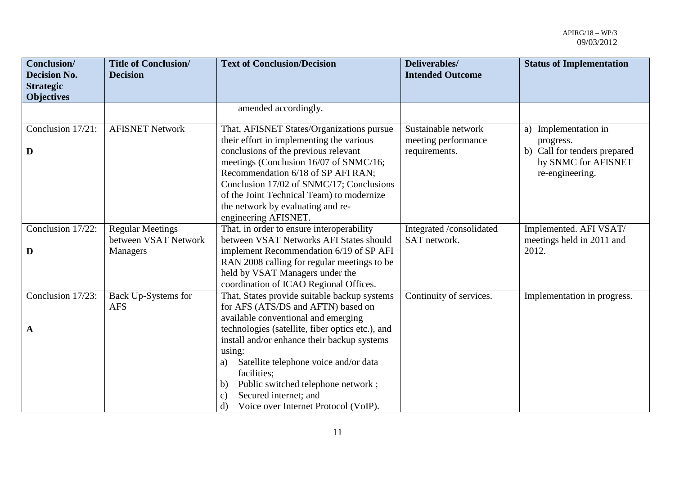| <b>Conclusion</b> /<br><b>Decision No.</b><br><b>Strategic</b><br><b>Objectives</b> | <b>Title of Conclusion/</b><br><b>Decision</b>  | <b>Text of Conclusion/Decision</b>                                                                                                                                                                                                                                                                                                                                  | Deliverables/<br><b>Intended Outcome</b>                    | <b>Status of Implementation</b>                                                                                |
|-------------------------------------------------------------------------------------|-------------------------------------------------|---------------------------------------------------------------------------------------------------------------------------------------------------------------------------------------------------------------------------------------------------------------------------------------------------------------------------------------------------------------------|-------------------------------------------------------------|----------------------------------------------------------------------------------------------------------------|
|                                                                                     |                                                 | amended accordingly.                                                                                                                                                                                                                                                                                                                                                |                                                             |                                                                                                                |
| Conclusion 17/21:<br>D                                                              | <b>AFISNET Network</b>                          | That, AFISNET States/Organizations pursue<br>their effort in implementing the various<br>conclusions of the previous relevant<br>meetings (Conclusion 16/07 of SNMC/16;<br>Recommendation 6/18 of SP AFI RAN;<br>Conclusion 17/02 of SNMC/17; Conclusions<br>of the Joint Technical Team) to modernize<br>the network by evaluating and re-<br>engineering AFISNET. | Sustainable network<br>meeting performance<br>requirements. | Implementation in<br>a)<br>progress.<br>b) Call for tenders prepared<br>by SNMC for AFISNET<br>re-engineering. |
| Conclusion 17/22:                                                                   | <b>Regular Meetings</b><br>between VSAT Network | That, in order to ensure interoperability<br>between VSAT Networks AFI States should                                                                                                                                                                                                                                                                                | Integrated /consolidated<br>SAT network.                    | Implemented. AFI VSAT/<br>meetings held in 2011 and                                                            |
| D                                                                                   | <b>Managers</b>                                 | implement Recommendation 6/19 of SP AFI<br>RAN 2008 calling for regular meetings to be<br>held by VSAT Managers under the<br>coordination of ICAO Regional Offices.                                                                                                                                                                                                 |                                                             | 2012.                                                                                                          |
| Conclusion 17/23:<br>$\mathbf A$                                                    | Back Up-Systems for<br><b>AFS</b>               | That, States provide suitable backup systems<br>for AFS (ATS/DS and AFTN) based on<br>available conventional and emerging<br>technologies (satellite, fiber optics etc.), and                                                                                                                                                                                       | Continuity of services.                                     | Implementation in progress.                                                                                    |
|                                                                                     |                                                 | install and/or enhance their backup systems<br>using:<br>Satellite telephone voice and/or data<br>a)<br>facilities;<br>Public switched telephone network;<br>b)<br>Secured internet; and<br>$\mathcal{C}$ )<br>Voice over Internet Protocol (VoIP).<br>d)                                                                                                           |                                                             |                                                                                                                |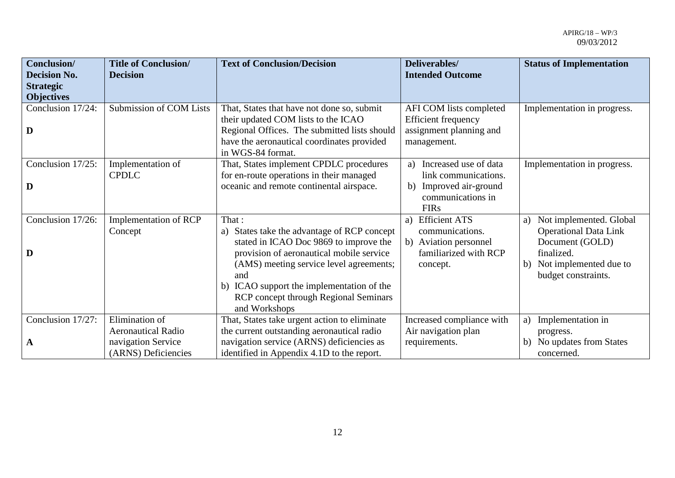| Conclusion/                             | <b>Title of Conclusion/</b> | <b>Text of Conclusion/Decision</b>           | Deliverables/               | <b>Status of Implementation</b> |
|-----------------------------------------|-----------------------------|----------------------------------------------|-----------------------------|---------------------------------|
| <b>Decision No.</b><br><b>Strategic</b> | <b>Decision</b>             |                                              | <b>Intended Outcome</b>     |                                 |
| <b>Objectives</b>                       |                             |                                              |                             |                                 |
| Conclusion 17/24:                       | Submission of COM Lists     | That, States that have not done so, submit   | AFI COM lists completed     | Implementation in progress.     |
|                                         |                             | their updated COM lists to the ICAO          | <b>Efficient frequency</b>  |                                 |
| D                                       |                             | Regional Offices. The submitted lists should | assignment planning and     |                                 |
|                                         |                             | have the aeronautical coordinates provided   | management.                 |                                 |
|                                         |                             | in WGS-84 format.                            |                             |                                 |
| Conclusion 17/25:                       | Implementation of           | That, States implement CPDLC procedures      | Increased use of data<br>a) | Implementation in progress.     |
|                                         | <b>CPDLC</b>                | for en-route operations in their managed     | link communications.        |                                 |
| D                                       |                             | oceanic and remote continental airspace.     | Improved air-ground<br>b)   |                                 |
|                                         |                             |                                              | communications in           |                                 |
|                                         |                             |                                              | <b>FIRs</b>                 |                                 |
| Conclusion 17/26:                       | Implementation of RCP       | That:                                        | a) Efficient ATS            | Not implemented. Global<br>a)   |
|                                         | Concept                     | a) States take the advantage of RCP concept  | communications.             | <b>Operational Data Link</b>    |
|                                         |                             | stated in ICAO Doc 9869 to improve the       | b) Aviation personnel       | Document (GOLD)                 |
| D                                       |                             | provision of aeronautical mobile service     | familiarized with RCP       | finalized.                      |
|                                         |                             | (AMS) meeting service level agreements;      | concept.                    | b) Not implemented due to       |
|                                         |                             | and                                          |                             | budget constraints.             |
|                                         |                             | b) ICAO support the implementation of the    |                             |                                 |
|                                         |                             | <b>RCP</b> concept through Regional Seminars |                             |                                 |
|                                         |                             | and Workshops                                |                             |                                 |
| Conclusion 17/27:                       | Elimination of              | That, States take urgent action to eliminate | Increased compliance with   | Implementation in<br>a)         |
|                                         | <b>Aeronautical Radio</b>   | the current outstanding aeronautical radio   | Air navigation plan         | progress.                       |
| $\mathbf{A}$                            | navigation Service          | navigation service (ARNS) deficiencies as    | requirements.               | b) No updates from States       |
|                                         | (ARNS) Deficiencies         | identified in Appendix 4.1D to the report.   |                             | concerned.                      |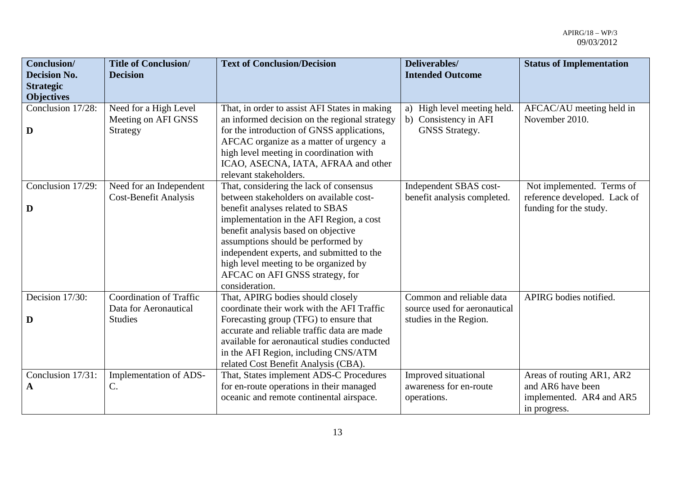| Conclusion/<br><b>Decision No.</b><br><b>Strategic</b> | <b>Title of Conclusion/</b><br><b>Decision</b>                            | <b>Text of Conclusion/Decision</b>                                                                                                                                                                                                                                                                                                                                                         | Deliverables/<br><b>Intended Outcome</b>                                           | <b>Status of Implementation</b>                                                            |
|--------------------------------------------------------|---------------------------------------------------------------------------|--------------------------------------------------------------------------------------------------------------------------------------------------------------------------------------------------------------------------------------------------------------------------------------------------------------------------------------------------------------------------------------------|------------------------------------------------------------------------------------|--------------------------------------------------------------------------------------------|
| <b>Objectives</b>                                      |                                                                           |                                                                                                                                                                                                                                                                                                                                                                                            |                                                                                    |                                                                                            |
| Conclusion 17/28:<br>D                                 | Need for a High Level<br>Meeting on AFI GNSS<br>Strategy                  | That, in order to assist AFI States in making<br>an informed decision on the regional strategy<br>for the introduction of GNSS applications,<br>AFCAC organize as a matter of urgency a<br>high level meeting in coordination with<br>ICAO, ASECNA, IATA, AFRAA and other<br>relevant stakeholders.                                                                                        | a) High level meeting held.<br>b) Consistency in AFI<br>GNSS Strategy.             | AFCAC/AU meeting held in<br>November 2010.                                                 |
| Conclusion 17/29:<br>D                                 | Need for an Independent<br><b>Cost-Benefit Analysis</b>                   | That, considering the lack of consensus<br>between stakeholders on available cost-<br>benefit analyses related to SBAS<br>implementation in the AFI Region, a cost<br>benefit analysis based on objective<br>assumptions should be performed by<br>independent experts, and submitted to the<br>high level meeting to be organized by<br>AFCAC on AFI GNSS strategy, for<br>consideration. | Independent SBAS cost-<br>benefit analysis completed.                              | Not implemented. Terms of<br>reference developed. Lack of<br>funding for the study.        |
| Decision 17/30:<br>D                                   | <b>Coordination of Traffic</b><br>Data for Aeronautical<br><b>Studies</b> | That, APIRG bodies should closely<br>coordinate their work with the AFI Traffic<br>Forecasting group (TFG) to ensure that<br>accurate and reliable traffic data are made<br>available for aeronautical studies conducted<br>in the AFI Region, including CNS/ATM<br>related Cost Benefit Analysis (CBA).                                                                                   | Common and reliable data<br>source used for aeronautical<br>studies in the Region. | APIRG bodies notified.                                                                     |
| Conclusion 17/31:<br>A                                 | Implementation of ADS-<br>C.                                              | That, States implement ADS-C Procedures<br>for en-route operations in their managed<br>oceanic and remote continental airspace.                                                                                                                                                                                                                                                            | Improved situational<br>awareness for en-route<br>operations.                      | Areas of routing AR1, AR2<br>and AR6 have been<br>implemented. AR4 and AR5<br>in progress. |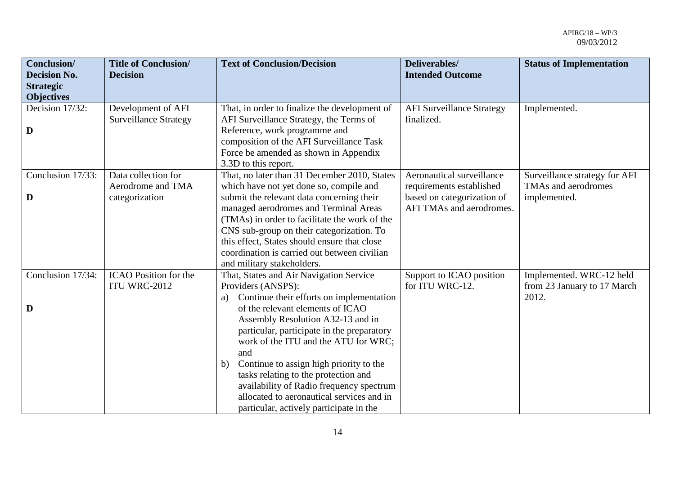| Conclusion/<br><b>Decision No.</b><br><b>Strategic</b> | <b>Title of Conclusion/</b><br><b>Decision</b>             | <b>Text of Conclusion/Decision</b>                                                                                                                                                                                                                                                                                                                                                                                                                                                                                 | Deliverables/<br><b>Intended Outcome</b>                                                                        | <b>Status of Implementation</b>                                      |
|--------------------------------------------------------|------------------------------------------------------------|--------------------------------------------------------------------------------------------------------------------------------------------------------------------------------------------------------------------------------------------------------------------------------------------------------------------------------------------------------------------------------------------------------------------------------------------------------------------------------------------------------------------|-----------------------------------------------------------------------------------------------------------------|----------------------------------------------------------------------|
| <b>Objectives</b>                                      |                                                            |                                                                                                                                                                                                                                                                                                                                                                                                                                                                                                                    |                                                                                                                 |                                                                      |
| Decision 17/32:<br>D                                   | Development of AFI<br><b>Surveillance Strategy</b>         | That, in order to finalize the development of<br>AFI Surveillance Strategy, the Terms of<br>Reference, work programme and<br>composition of the AFI Surveillance Task<br>Force be amended as shown in Appendix<br>3.3D to this report.                                                                                                                                                                                                                                                                             | <b>AFI Surveillance Strategy</b><br>finalized.                                                                  | Implemented.                                                         |
| Conclusion 17/33:<br>D                                 | Data collection for<br>Aerodrome and TMA<br>categorization | That, no later than 31 December 2010, States<br>which have not yet done so, compile and<br>submit the relevant data concerning their<br>managed aerodromes and Terminal Areas<br>(TMAs) in order to facilitate the work of the<br>CNS sub-group on their categorization. To<br>this effect, States should ensure that close<br>coordination is carried out between civilian<br>and military stakeholders.                                                                                                          | Aeronautical surveillance<br>requirements established<br>based on categorization of<br>AFI TMAs and aerodromes. | Surveillance strategy for AFI<br>TMAs and aerodromes<br>implemented. |
| Conclusion 17/34:<br>D                                 | <b>ICAO</b> Position for the<br>ITU WRC-2012               | That, States and Air Navigation Service<br>Providers (ANSPS):<br>Continue their efforts on implementation<br>a)<br>of the relevant elements of ICAO<br>Assembly Resolution A32-13 and in<br>particular, participate in the preparatory<br>work of the ITU and the ATU for WRC;<br>and<br>Continue to assign high priority to the<br>b)<br>tasks relating to the protection and<br>availability of Radio frequency spectrum<br>allocated to aeronautical services and in<br>particular, actively participate in the | Support to ICAO position<br>for ITU WRC-12.                                                                     | Implemented. WRC-12 held<br>from 23 January to 17 March<br>2012.     |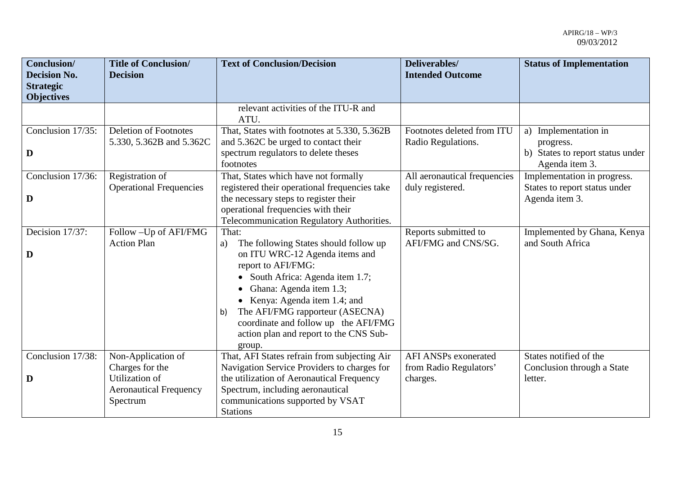| Conclusion/<br><b>Decision No.</b><br><b>Strategic</b><br><b>Objectives</b> | <b>Title of Conclusion/</b><br><b>Decision</b>              | <b>Text of Conclusion/Decision</b>                                                                                                                                                                                                                                                                                                              | Deliverables/<br><b>Intended Outcome</b>              | <b>Status of Implementation</b>                                                            |
|-----------------------------------------------------------------------------|-------------------------------------------------------------|-------------------------------------------------------------------------------------------------------------------------------------------------------------------------------------------------------------------------------------------------------------------------------------------------------------------------------------------------|-------------------------------------------------------|--------------------------------------------------------------------------------------------|
|                                                                             |                                                             | relevant activities of the ITU-R and<br>ATU.                                                                                                                                                                                                                                                                                                    |                                                       |                                                                                            |
| Conclusion 17/35:<br>D                                                      | <b>Deletion of Footnotes</b><br>5.330, 5.362B and 5.362C    | That, States with footnotes at 5.330, 5.362B<br>and 5.362C be urged to contact their<br>spectrum regulators to delete theses<br>footnotes                                                                                                                                                                                                       | Footnotes deleted from ITU<br>Radio Regulations.      | Implementation in<br>a)<br>progress.<br>b) States to report status under<br>Agenda item 3. |
| Conclusion 17/36:<br>D                                                      | Registration of<br><b>Operational Frequencies</b>           | That, States which have not formally<br>registered their operational frequencies take<br>the necessary steps to register their<br>operational frequencies with their<br>Telecommunication Regulatory Authorities.                                                                                                                               | All aeronautical frequencies<br>duly registered.      | Implementation in progress.<br>States to report status under<br>Agenda item 3.             |
| Decision 17/37:<br>D                                                        | Follow - Up of AFI/FMG<br><b>Action Plan</b>                | That:<br>The following States should follow up<br>a)<br>on ITU WRC-12 Agenda items and<br>report to AFI/FMG:<br>South Africa: Agenda item 1.7;<br>Ghana: Agenda item 1.3;<br>• Kenya: Agenda item 1.4; and<br>The AFI/FMG rapporteur (ASECNA)<br>b)<br>coordinate and follow up the AFI/FMG<br>action plan and report to the CNS Sub-<br>group. | Reports submitted to<br>AFI/FMG and CNS/SG.           | Implemented by Ghana, Kenya<br>and South Africa                                            |
| Conclusion 17/38:                                                           | Non-Application of<br>Charges for the                       | That, AFI States refrain from subjecting Air<br>Navigation Service Providers to charges for                                                                                                                                                                                                                                                     | <b>AFI ANSPs exonerated</b><br>from Radio Regulators' | States notified of the<br>Conclusion through a State                                       |
| D                                                                           | Utilization of<br><b>Aeronautical Frequency</b><br>Spectrum | the utilization of Aeronautical Frequency<br>Spectrum, including aeronautical<br>communications supported by VSAT<br><b>Stations</b>                                                                                                                                                                                                            | charges.                                              | letter.                                                                                    |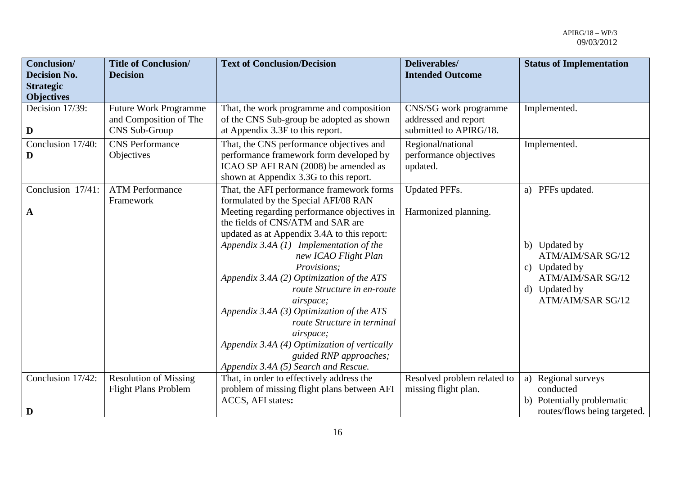| Conclusion/<br><b>Decision No.</b><br><b>Strategic</b><br><b>Objectives</b> | <b>Title of Conclusion/</b><br><b>Decision</b>                          | <b>Text of Conclusion/Decision</b>                                                                                                                                                                                                                                                                                                                                                                                                                                                                                                                                                                                   | Deliverables/<br><b>Intended Outcome</b>                                | <b>Status of Implementation</b>                                                                                                    |
|-----------------------------------------------------------------------------|-------------------------------------------------------------------------|----------------------------------------------------------------------------------------------------------------------------------------------------------------------------------------------------------------------------------------------------------------------------------------------------------------------------------------------------------------------------------------------------------------------------------------------------------------------------------------------------------------------------------------------------------------------------------------------------------------------|-------------------------------------------------------------------------|------------------------------------------------------------------------------------------------------------------------------------|
| Decision 17/39:<br>D                                                        | <b>Future Work Programme</b><br>and Composition of The<br>CNS Sub-Group | That, the work programme and composition<br>of the CNS Sub-group be adopted as shown<br>at Appendix 3.3F to this report.                                                                                                                                                                                                                                                                                                                                                                                                                                                                                             | CNS/SG work programme<br>addressed and report<br>submitted to APIRG/18. | Implemented.                                                                                                                       |
| Conclusion 17/40:<br>D                                                      | <b>CNS</b> Performance<br>Objectives                                    | That, the CNS performance objectives and<br>performance framework form developed by<br>ICAO SP AFI RAN (2008) be amended as<br>shown at Appendix 3.3G to this report.                                                                                                                                                                                                                                                                                                                                                                                                                                                | Regional/national<br>performance objectives<br>updated.                 | Implemented.                                                                                                                       |
| Conclusion 17/41:<br>$\mathbf A$                                            | <b>ATM Performance</b><br>Framework                                     | That, the AFI performance framework forms<br>formulated by the Special AFI/08 RAN<br>Meeting regarding performance objectives in<br>the fields of CNS/ATM and SAR are<br>updated as at Appendix 3.4A to this report:<br>Appendix 3.4A $(1)$ Implementation of the<br>new ICAO Flight Plan<br>Provisions;<br>Appendix 3.4A (2) Optimization of the ATS<br>route Structure in en-route<br><i>airspace</i> ;<br>Appendix 3.4A (3) Optimization of the ATS<br>route Structure in terminal<br>airspace;<br>Appendix 3.4A (4) Optimization of vertically<br>guided RNP approaches;<br>Appendix 3.4A (5) Search and Rescue. | <b>Updated PFFs.</b><br>Harmonized planning.                            | a) PFFs updated.<br>b) Updated by<br>ATM/AIM/SAR SG/12<br>c) Updated by<br>ATM/AIM/SAR SG/12<br>d) Updated by<br>ATM/AIM/SAR SG/12 |
| Conclusion 17/42:<br>D                                                      | <b>Resolution of Missing</b><br><b>Flight Plans Problem</b>             | That, in order to effectively address the<br>problem of missing flight plans between AFI<br>ACCS, AFI states:                                                                                                                                                                                                                                                                                                                                                                                                                                                                                                        | Resolved problem related to<br>missing flight plan.                     | a) Regional surveys<br>conducted<br>b) Potentially problematic<br>routes/flows being targeted.                                     |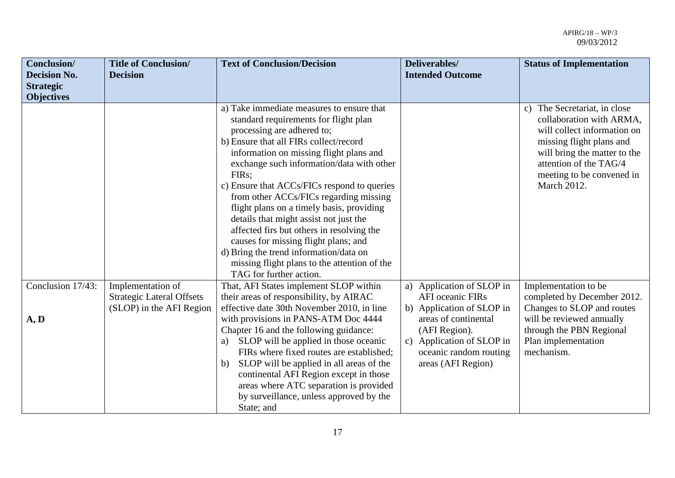| <b>Conclusion</b> /<br><b>Decision No.</b> | <b>Title of Conclusion/</b><br><b>Decision</b>                                    | <b>Text of Conclusion/Decision</b>                                                                                                                                                                                                                                                                                                                                                                                                                                                                                                                                                                                                                    | Deliverables/<br><b>Intended Outcome</b>                                                                           | <b>Status of Implementation</b>                                                                                                                                                                                           |
|--------------------------------------------|-----------------------------------------------------------------------------------|-------------------------------------------------------------------------------------------------------------------------------------------------------------------------------------------------------------------------------------------------------------------------------------------------------------------------------------------------------------------------------------------------------------------------------------------------------------------------------------------------------------------------------------------------------------------------------------------------------------------------------------------------------|--------------------------------------------------------------------------------------------------------------------|---------------------------------------------------------------------------------------------------------------------------------------------------------------------------------------------------------------------------|
| <b>Strategic</b>                           |                                                                                   |                                                                                                                                                                                                                                                                                                                                                                                                                                                                                                                                                                                                                                                       |                                                                                                                    |                                                                                                                                                                                                                           |
| <b>Objectives</b>                          |                                                                                   |                                                                                                                                                                                                                                                                                                                                                                                                                                                                                                                                                                                                                                                       |                                                                                                                    |                                                                                                                                                                                                                           |
|                                            |                                                                                   | a) Take immediate measures to ensure that<br>standard requirements for flight plan<br>processing are adhered to;<br>b) Ensure that all FIRs collect/record<br>information on missing flight plans and<br>exchange such information/data with other<br>FIRs;<br>c) Ensure that ACCs/FICs respond to queries<br>from other ACCs/FICs regarding missing<br>flight plans on a timely basis, providing<br>details that might assist not just the<br>affected firs but others in resolving the<br>causes for missing flight plans; and<br>d) Bring the trend information/data on<br>missing flight plans to the attention of the<br>TAG for further action. |                                                                                                                    | c) The Secretariat, in close<br>collaboration with ARMA,<br>will collect information on<br>missing flight plans and<br>will bring the matter to the<br>attention of the TAG/4<br>meeting to be convened in<br>March 2012. |
| Conclusion 17/43:                          | Implementation of<br><b>Strategic Lateral Offsets</b><br>(SLOP) in the AFI Region | That, AFI States implement SLOP within<br>their areas of responsibility, by AIRAC<br>effective date 30th November 2010, in line                                                                                                                                                                                                                                                                                                                                                                                                                                                                                                                       | a) Application of SLOP in<br><b>AFI</b> oceanic FIRs<br>b) Application of SLOP in                                  | Implementation to be<br>completed by December 2012.<br>Changes to SLOP and routes                                                                                                                                         |
| A, D                                       |                                                                                   | with provisions in PANS-ATM Doc 4444<br>Chapter 16 and the following guidance:<br>SLOP will be applied in those oceanic<br>a)<br>FIRs where fixed routes are established;<br>SLOP will be applied in all areas of the<br>b)<br>continental AFI Region except in those<br>areas where ATC separation is provided<br>by surveillance, unless approved by the<br>State; and                                                                                                                                                                                                                                                                              | areas of continental<br>(AFI Region).<br>c) Application of SLOP in<br>oceanic random routing<br>areas (AFI Region) | will be reviewed annually<br>through the PBN Regional<br>Plan implementation<br>mechanism.                                                                                                                                |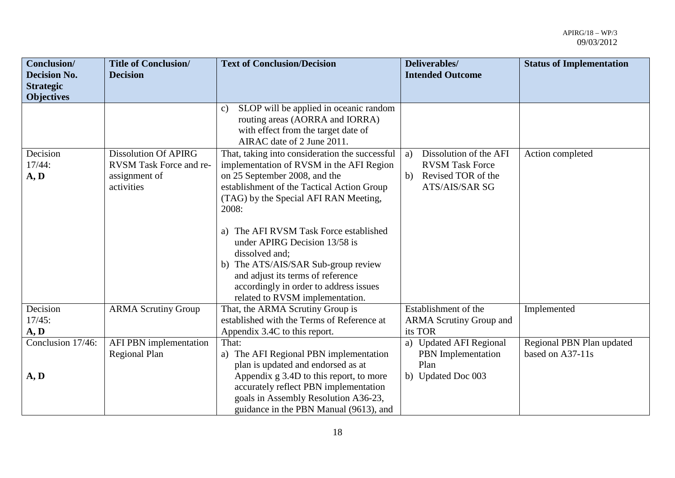| Conclusion/                             | <b>Title of Conclusion/</b> | <b>Text of Conclusion/Decision</b>                                            | Deliverables/                     | <b>Status of Implementation</b> |
|-----------------------------------------|-----------------------------|-------------------------------------------------------------------------------|-----------------------------------|---------------------------------|
| <b>Decision No.</b><br><b>Strategic</b> | <b>Decision</b>             |                                                                               | <b>Intended Outcome</b>           |                                 |
| <b>Objectives</b>                       |                             |                                                                               |                                   |                                 |
|                                         |                             | SLOP will be applied in oceanic random<br>$\mathbf{c}$                        |                                   |                                 |
|                                         |                             | routing areas (AORRA and IORRA)                                               |                                   |                                 |
|                                         |                             | with effect from the target date of<br>AIRAC date of 2 June 2011.             |                                   |                                 |
| Decision                                | <b>Dissolution Of APIRG</b> | That, taking into consideration the successful                                | Dissolution of the AFI<br>a)      | Action completed                |
| 17/44:                                  | RVSM Task Force and re-     | implementation of RVSM in the AFI Region                                      | <b>RVSM Task Force</b>            |                                 |
| A, D                                    | assignment of               | on 25 September 2008, and the                                                 | Revised TOR of the<br>b)          |                                 |
|                                         | activities                  | establishment of the Tactical Action Group                                    | <b>ATS/AIS/SAR SG</b>             |                                 |
|                                         |                             | (TAG) by the Special AFI RAN Meeting,                                         |                                   |                                 |
|                                         |                             | 2008:                                                                         |                                   |                                 |
|                                         |                             |                                                                               |                                   |                                 |
|                                         |                             | a) The AFI RVSM Task Force established                                        |                                   |                                 |
|                                         |                             | under APIRG Decision 13/58 is                                                 |                                   |                                 |
|                                         |                             | dissolved and;                                                                |                                   |                                 |
|                                         |                             | b) The ATS/AIS/SAR Sub-group review                                           |                                   |                                 |
|                                         |                             | and adjust its terms of reference                                             |                                   |                                 |
|                                         |                             | accordingly in order to address issues                                        |                                   |                                 |
|                                         |                             | related to RVSM implementation.                                               |                                   |                                 |
| Decision                                | <b>ARMA Scrutiny Group</b>  | That, the ARMA Scrutiny Group is                                              | Establishment of the              | Implemented                     |
| 17/45:                                  |                             | established with the Terms of Reference at                                    | <b>ARMA Scrutiny Group and</b>    |                                 |
| A, D                                    |                             | Appendix 3.4C to this report.                                                 | its TOR                           |                                 |
| Conclusion 17/46:                       | AFI PBN implementation      | That:                                                                         | a) Updated AFI Regional           | Regional PBN Plan updated       |
|                                         | <b>Regional Plan</b>        | a) The AFI Regional PBN implementation                                        | <b>PBN</b> Implementation<br>Plan | based on A37-11s                |
| A, D                                    |                             | plan is updated and endorsed as at<br>Appendix g 3.4D to this report, to more | b) Updated Doc 003                |                                 |
|                                         |                             | accurately reflect PBN implementation                                         |                                   |                                 |
|                                         |                             | goals in Assembly Resolution A36-23,                                          |                                   |                                 |
|                                         |                             | guidance in the PBN Manual (9613), and                                        |                                   |                                 |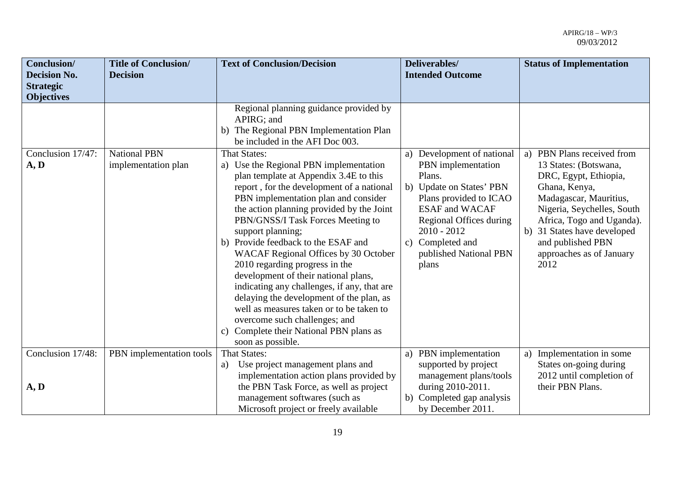| Conclusion/<br><b>Decision No.</b><br><b>Strategic</b><br><b>Objectives</b> | <b>Title of Conclusion/</b><br><b>Decision</b> | <b>Text of Conclusion/Decision</b>                                                                                                                                                                                                                                                                                                                                                                                                                                                                                                                                                                                                                                                                                         | Deliverables/<br><b>Intended Outcome</b>                                                                                                                                                                                                     | <b>Status of Implementation</b>                                                                                                                                                                                                                                                  |
|-----------------------------------------------------------------------------|------------------------------------------------|----------------------------------------------------------------------------------------------------------------------------------------------------------------------------------------------------------------------------------------------------------------------------------------------------------------------------------------------------------------------------------------------------------------------------------------------------------------------------------------------------------------------------------------------------------------------------------------------------------------------------------------------------------------------------------------------------------------------------|----------------------------------------------------------------------------------------------------------------------------------------------------------------------------------------------------------------------------------------------|----------------------------------------------------------------------------------------------------------------------------------------------------------------------------------------------------------------------------------------------------------------------------------|
|                                                                             |                                                | Regional planning guidance provided by<br>APIRG; and<br>The Regional PBN Implementation Plan<br>b)<br>be included in the AFI Doc 003.                                                                                                                                                                                                                                                                                                                                                                                                                                                                                                                                                                                      |                                                                                                                                                                                                                                              |                                                                                                                                                                                                                                                                                  |
| Conclusion 17/47:<br>A, D                                                   | <b>National PBN</b><br>implementation plan     | <b>That States:</b><br>a) Use the Regional PBN implementation<br>plan template at Appendix 3.4E to this<br>report, for the development of a national<br>PBN implementation plan and consider<br>the action planning provided by the Joint<br>PBN/GNSS/I Task Forces Meeting to<br>support planning;<br>b) Provide feedback to the ESAF and<br><b>WACAF Regional Offices by 30 October</b><br>2010 regarding progress in the<br>development of their national plans,<br>indicating any challenges, if any, that are<br>delaying the development of the plan, as<br>well as measures taken or to be taken to<br>overcome such challenges; and<br>Complete their National PBN plans as<br>$\mathbf{c}$ )<br>soon as possible. | a) Development of national<br>PBN implementation<br>Plans.<br>b) Update on States' PBN<br>Plans provided to ICAO<br><b>ESAF</b> and WACAF<br>Regional Offices during<br>$2010 - 2012$<br>c) Completed and<br>published National PBN<br>plans | PBN Plans received from<br>a)<br>13 States: (Botswana,<br>DRC, Egypt, Ethiopia,<br>Ghana, Kenya,<br>Madagascar, Mauritius,<br>Nigeria, Seychelles, South<br>Africa, Togo and Uganda).<br>31 States have developed<br>b)<br>and published PBN<br>approaches as of January<br>2012 |
| Conclusion 17/48:                                                           | PBN implementation tools                       | That States:                                                                                                                                                                                                                                                                                                                                                                                                                                                                                                                                                                                                                                                                                                               | a) PBN implementation                                                                                                                                                                                                                        | a) Implementation in some                                                                                                                                                                                                                                                        |
| A, D                                                                        |                                                | Use project management plans and<br>a)<br>implementation action plans provided by<br>the PBN Task Force, as well as project<br>management softwares (such as<br>Microsoft project or freely available                                                                                                                                                                                                                                                                                                                                                                                                                                                                                                                      | supported by project<br>management plans/tools<br>during 2010-2011.<br>b) Completed gap analysis<br>by December 2011.                                                                                                                        | States on-going during<br>2012 until completion of<br>their PBN Plans.                                                                                                                                                                                                           |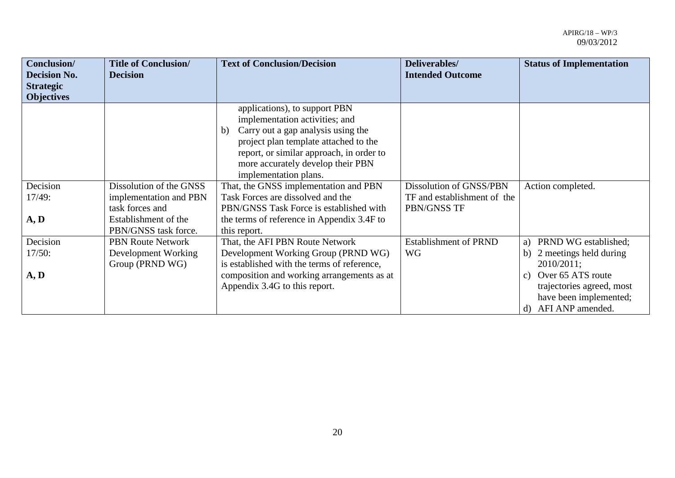| Conclusion/         | <b>Title of Conclusion/</b> | <b>Text of Conclusion/Decision</b>          | Deliverables/                | <b>Status of Implementation</b>      |
|---------------------|-----------------------------|---------------------------------------------|------------------------------|--------------------------------------|
| <b>Decision No.</b> | <b>Decision</b>             |                                             | <b>Intended Outcome</b>      |                                      |
| <b>Strategic</b>    |                             |                                             |                              |                                      |
| <b>Objectives</b>   |                             | applications), to support PBN               |                              |                                      |
|                     |                             | implementation activities; and              |                              |                                      |
|                     |                             | Carry out a gap analysis using the<br>b)    |                              |                                      |
|                     |                             | project plan template attached to the       |                              |                                      |
|                     |                             | report, or similar approach, in order to    |                              |                                      |
|                     |                             | more accurately develop their PBN           |                              |                                      |
|                     |                             | implementation plans.                       |                              |                                      |
| Decision            | Dissolution of the GNSS     | That, the GNSS implementation and PBN       | Dissolution of GNSS/PBN      | Action completed.                    |
| 17/49:              | implementation and PBN      | Task Forces are dissolved and the           | TF and establishment of the  |                                      |
|                     | task forces and             | PBN/GNSS Task Force is established with     | PBN/GNSS TF                  |                                      |
| A, D                | Establishment of the        | the terms of reference in Appendix 3.4F to  |                              |                                      |
|                     | PBN/GNSS task force.        | this report.                                |                              |                                      |
| Decision            | <b>PBN Route Network</b>    | That, the AFI PBN Route Network             | <b>Establishment of PRND</b> | PRND WG established;<br>a)           |
| 17/50:              | Development Working         | Development Working Group (PRND WG)         | <b>WG</b>                    | 2 meetings held during<br>b)         |
|                     | Group (PRND WG)             | is established with the terms of reference, |                              | 2010/2011;                           |
| A, D                |                             | composition and working arrangements as at  |                              | Over 65 ATS route<br>$\mathcal{C}$ ) |
|                     |                             | Appendix 3.4G to this report.               |                              | trajectories agreed, most            |
|                     |                             |                                             |                              | have been implemented;               |
|                     |                             |                                             |                              | AFI ANP amended.<br>d)               |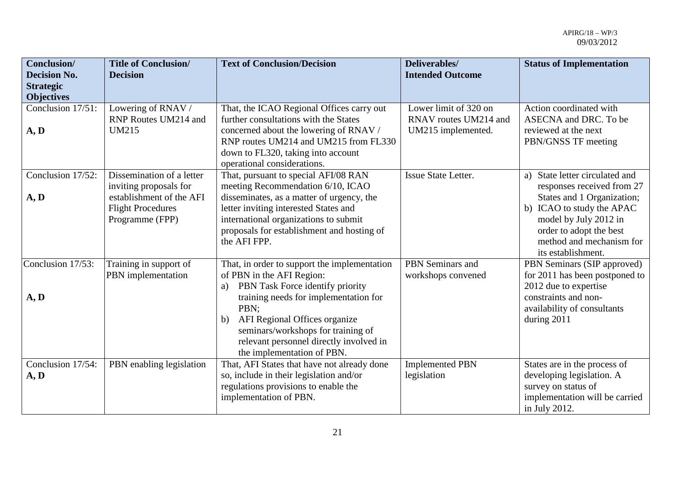| Conclusion/<br><b>Decision No.</b><br><b>Strategic</b><br><b>Objectives</b> | <b>Title of Conclusion/</b><br><b>Decision</b>                                                                                 | <b>Text of Conclusion/Decision</b>                                                                                                                                                                                                                                                                                         | Deliverables/<br><b>Intended Outcome</b>                             | <b>Status of Implementation</b>                                                                                                                                                                                                  |
|-----------------------------------------------------------------------------|--------------------------------------------------------------------------------------------------------------------------------|----------------------------------------------------------------------------------------------------------------------------------------------------------------------------------------------------------------------------------------------------------------------------------------------------------------------------|----------------------------------------------------------------------|----------------------------------------------------------------------------------------------------------------------------------------------------------------------------------------------------------------------------------|
| Conclusion 17/51:<br>A, D                                                   | Lowering of RNAV /<br>RNP Routes UM214 and<br><b>UM215</b>                                                                     | That, the ICAO Regional Offices carry out<br>further consultations with the States<br>concerned about the lowering of RNAV /<br>RNP routes UM214 and UM215 from FL330<br>down to FL320, taking into account<br>operational considerations.                                                                                 | Lower limit of 320 on<br>RNAV routes UM214 and<br>UM215 implemented. | Action coordinated with<br>ASECNA and DRC. To be<br>reviewed at the next<br>PBN/GNSS TF meeting                                                                                                                                  |
| Conclusion 17/52:<br>A, D                                                   | Dissemination of a letter<br>inviting proposals for<br>establishment of the AFI<br><b>Flight Procedures</b><br>Programme (FPP) | That, pursuant to special AFI/08 RAN<br>meeting Recommendation 6/10, ICAO<br>disseminates, as a matter of urgency, the<br>letter inviting interested States and<br>international organizations to submit<br>proposals for establishment and hosting of<br>the AFI FPP.                                                     | <b>Issue State Letter.</b>                                           | State letter circulated and<br>a)<br>responses received from 27<br>States and 1 Organization;<br>b) ICAO to study the APAC<br>model by July 2012 in<br>order to adopt the best<br>method and mechanism for<br>its establishment. |
| Conclusion 17/53:<br>A, D                                                   | Training in support of<br>PBN implementation                                                                                   | That, in order to support the implementation<br>of PBN in the AFI Region:<br>PBN Task Force identify priority<br>a)<br>training needs for implementation for<br>PBN;<br>AFI Regional Offices organize<br>b)<br>seminars/workshops for training of<br>relevant personnel directly involved in<br>the implementation of PBN. | PBN Seminars and<br>workshops convened                               | PBN Seminars (SIP approved)<br>for 2011 has been postponed to<br>2012 due to expertise<br>constraints and non-<br>availability of consultants<br>during 2011                                                                     |
| Conclusion 17/54:<br>A, D                                                   | PBN enabling legislation                                                                                                       | That, AFI States that have not already done<br>so, include in their legislation and/or<br>regulations provisions to enable the<br>implementation of PBN.                                                                                                                                                                   | <b>Implemented PBN</b><br>legislation                                | States are in the process of<br>developing legislation. A<br>survey on status of<br>implementation will be carried<br>in July 2012.                                                                                              |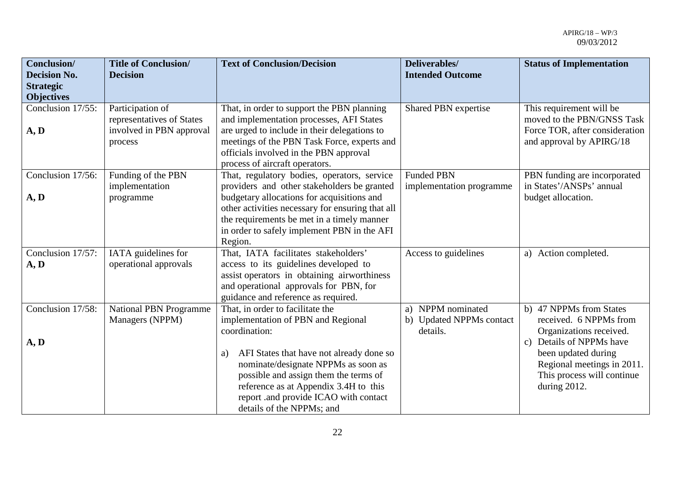| <b>Conclusion/</b><br><b>Decision No.</b> | <b>Title of Conclusion/</b><br><b>Decision</b>   | <b>Text of Conclusion/Decision</b>                                                                                                                                                                                                                    | Deliverables/<br><b>Intended Outcome</b>                  | <b>Status of Implementation</b>                                                                                         |
|-------------------------------------------|--------------------------------------------------|-------------------------------------------------------------------------------------------------------------------------------------------------------------------------------------------------------------------------------------------------------|-----------------------------------------------------------|-------------------------------------------------------------------------------------------------------------------------|
| <b>Strategic</b>                          |                                                  |                                                                                                                                                                                                                                                       |                                                           |                                                                                                                         |
| <b>Objectives</b>                         |                                                  |                                                                                                                                                                                                                                                       |                                                           |                                                                                                                         |
| Conclusion 17/55:                         | Participation of<br>representatives of States    | That, in order to support the PBN planning<br>and implementation processes, AFI States                                                                                                                                                                | Shared PBN expertise                                      | This requirement will be<br>moved to the PBN/GNSS Task                                                                  |
| A, D                                      | involved in PBN approval<br>process              | are urged to include in their delegations to<br>meetings of the PBN Task Force, experts and<br>officials involved in the PBN approval<br>process of aircraft operators.                                                                               |                                                           | Force TOR, after consideration<br>and approval by APIRG/18                                                              |
| Conclusion 17/56:                         | Funding of the PBN                               | That, regulatory bodies, operators, service                                                                                                                                                                                                           | <b>Funded PBN</b>                                         | PBN funding are incorporated                                                                                            |
| A, D                                      | implementation<br>programme                      | providers and other stakeholders be granted<br>budgetary allocations for acquisitions and<br>other activities necessary for ensuring that all<br>the requirements be met in a timely manner<br>in order to safely implement PBN in the AFI<br>Region. | implementation programme                                  | in States'/ANSPs' annual<br>budget allocation.                                                                          |
| Conclusion 17/57:<br>A, D                 | IATA guidelines for<br>operational approvals     | That, IATA facilitates stakeholders'<br>access to its guidelines developed to<br>assist operators in obtaining airworthiness<br>and operational approvals for PBN, for<br>guidance and reference as required.                                         | Access to guidelines                                      | a) Action completed.                                                                                                    |
| Conclusion 17/58:<br>A, D                 | <b>National PBN Programme</b><br>Managers (NPPM) | That, in order to facilitate the<br>implementation of PBN and Regional<br>coordination:                                                                                                                                                               | a) NPPM nominated<br>b) Updated NPPMs contact<br>details. | b) 47 NPPMs from States<br>received. 6 NPPMs from<br>Organizations received.<br>Details of NPPMs have<br>$\mathbf{c}$ ) |
|                                           |                                                  | AFI States that have not already done so<br>a)<br>nominate/designate NPPMs as soon as<br>possible and assign them the terms of<br>reference as at Appendix 3.4H to this<br>report .and provide ICAO with contact<br>details of the NPPMs; and         |                                                           | been updated during<br>Regional meetings in 2011.<br>This process will continue<br>during 2012.                         |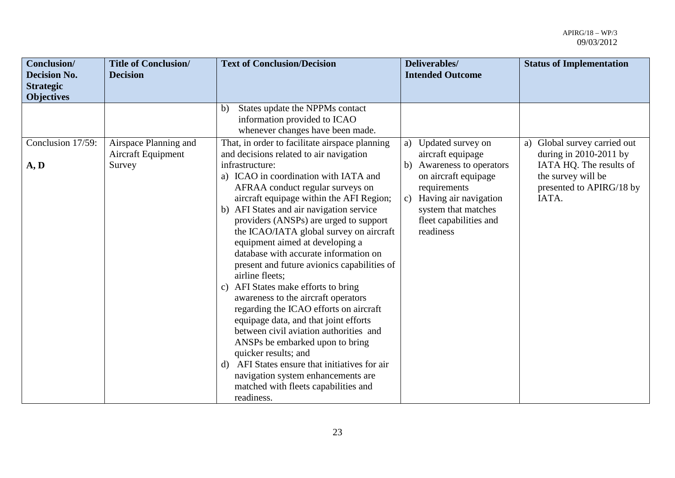| Conclusion/<br><b>Decision No.</b><br><b>Strategic</b><br><b>Objectives</b> | <b>Title of Conclusion/</b><br><b>Decision</b>        | <b>Text of Conclusion/Decision</b>                                                                                                                                                                                                                                                                                                                                                                                                                                                                                                                                                                                                                                                                                                                                                                                                                                                                                                         | Deliverables/<br><b>Intended Outcome</b>                                                                                                                                                                    | <b>Status of Implementation</b>                                                                                                                   |
|-----------------------------------------------------------------------------|-------------------------------------------------------|--------------------------------------------------------------------------------------------------------------------------------------------------------------------------------------------------------------------------------------------------------------------------------------------------------------------------------------------------------------------------------------------------------------------------------------------------------------------------------------------------------------------------------------------------------------------------------------------------------------------------------------------------------------------------------------------------------------------------------------------------------------------------------------------------------------------------------------------------------------------------------------------------------------------------------------------|-------------------------------------------------------------------------------------------------------------------------------------------------------------------------------------------------------------|---------------------------------------------------------------------------------------------------------------------------------------------------|
|                                                                             |                                                       | States update the NPPMs contact<br>$\mathbf{b}$<br>information provided to ICAO<br>whenever changes have been made.                                                                                                                                                                                                                                                                                                                                                                                                                                                                                                                                                                                                                                                                                                                                                                                                                        |                                                                                                                                                                                                             |                                                                                                                                                   |
| Conclusion 17/59:<br>A, D                                                   | Airspace Planning and<br>Aircraft Equipment<br>Survey | That, in order to facilitate airspace planning<br>and decisions related to air navigation<br>infrastructure:<br>a) ICAO in coordination with IATA and<br>AFRAA conduct regular surveys on<br>aircraft equipage within the AFI Region;<br>b) AFI States and air navigation service<br>providers (ANSPs) are urged to support<br>the ICAO/IATA global survey on aircraft<br>equipment aimed at developing a<br>database with accurate information on<br>present and future avionics capabilities of<br>airline fleets;<br>c) AFI States make efforts to bring<br>awareness to the aircraft operators<br>regarding the ICAO efforts on aircraft<br>equipage data, and that joint efforts<br>between civil aviation authorities and<br>ANSPs be embarked upon to bring<br>quicker results; and<br>AFI States ensure that initiatives for air<br>d)<br>navigation system enhancements are<br>matched with fleets capabilities and<br>readiness. | Updated survey on<br>a)<br>aircraft equipage<br>b) Awareness to operators<br>on aircraft equipage<br>requirements<br>c) Having air navigation<br>system that matches<br>fleet capabilities and<br>readiness | Global survey carried out<br>a)<br>during in $2010-2011$ by<br>IATA HQ. The results of<br>the survey will be<br>presented to APIRG/18 by<br>IATA. |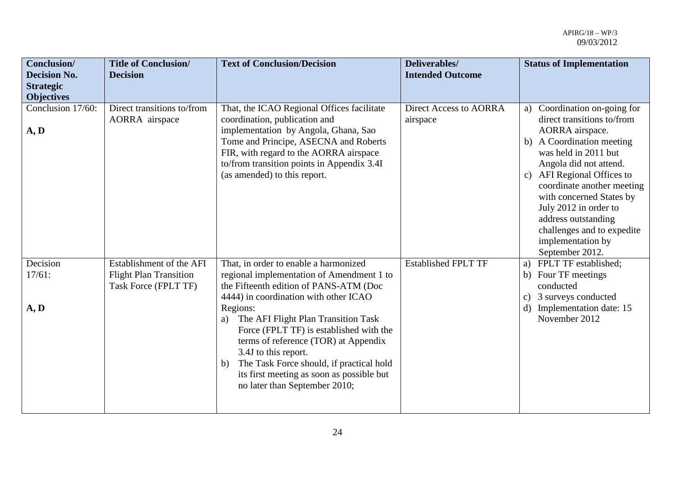| <b>Conclusion/</b><br><b>Decision No.</b><br><b>Strategic</b><br><b>Objectives</b> | <b>Title of Conclusion/</b><br><b>Decision</b>                                    | <b>Text of Conclusion/Decision</b>                                                                                                                                                                                                                                                                                                                                                                                                                                        | Deliverables/<br><b>Intended Outcome</b>  | <b>Status of Implementation</b>                                                                                                                                                                                                                                                                                                                                                     |
|------------------------------------------------------------------------------------|-----------------------------------------------------------------------------------|---------------------------------------------------------------------------------------------------------------------------------------------------------------------------------------------------------------------------------------------------------------------------------------------------------------------------------------------------------------------------------------------------------------------------------------------------------------------------|-------------------------------------------|-------------------------------------------------------------------------------------------------------------------------------------------------------------------------------------------------------------------------------------------------------------------------------------------------------------------------------------------------------------------------------------|
| Conclusion 17/60:<br>A, D                                                          | Direct transitions to/from<br>AORRA airspace                                      | That, the ICAO Regional Offices facilitate<br>coordination, publication and<br>implementation by Angola, Ghana, Sao<br>Tome and Principe, ASECNA and Roberts<br>FIR, with regard to the AORRA airspace<br>to/from transition points in Appendix 3.4I<br>(as amended) to this report.                                                                                                                                                                                      | <b>Direct Access to AORRA</b><br>airspace | Coordination on-going for<br>a)<br>direct transitions to/from<br>AORRA airspace.<br>A Coordination meeting<br>b)<br>was held in 2011 but<br>Angola did not attend.<br>AFI Regional Offices to<br>c)<br>coordinate another meeting<br>with concerned States by<br>July 2012 in order to<br>address outstanding<br>challenges and to expedite<br>implementation by<br>September 2012. |
| Decision<br>17/61:<br>A, D                                                         | Establishment of the AFI<br><b>Flight Plan Transition</b><br>Task Force (FPLT TF) | That, in order to enable a harmonized<br>regional implementation of Amendment 1 to<br>the Fifteenth edition of PANS-ATM (Doc<br>4444) in coordination with other ICAO<br>Regions:<br>The AFI Flight Plan Transition Task<br>a)<br>Force (FPLT TF) is established with the<br>terms of reference (TOR) at Appendix<br>3.4J to this report.<br>The Task Force should, if practical hold<br>b)<br>its first meeting as soon as possible but<br>no later than September 2010; | <b>Established FPLT TF</b>                | FPLT TF established;<br>a)<br>b) Four TF meetings<br>conducted<br>3 surveys conducted<br>$\mathbf{c})$<br>Implementation date: 15<br>d)<br>November 2012                                                                                                                                                                                                                            |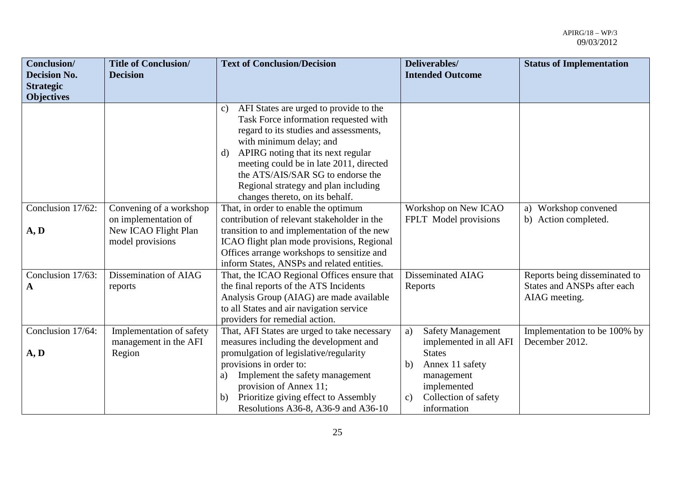| <b>Conclusion/</b>  | <b>Title of Conclusion/</b> | <b>Text of Conclusion/Decision</b>                      | Deliverables/                         | <b>Status of Implementation</b> |
|---------------------|-----------------------------|---------------------------------------------------------|---------------------------------------|---------------------------------|
| <b>Decision No.</b> | <b>Decision</b>             |                                                         | <b>Intended Outcome</b>               |                                 |
| <b>Strategic</b>    |                             |                                                         |                                       |                                 |
| <b>Objectives</b>   |                             |                                                         |                                       |                                 |
|                     |                             | AFI States are urged to provide to the<br>$\mathbf{c})$ |                                       |                                 |
|                     |                             | Task Force information requested with                   |                                       |                                 |
|                     |                             | regard to its studies and assessments,                  |                                       |                                 |
|                     |                             | with minimum delay; and                                 |                                       |                                 |
|                     |                             | APIRG noting that its next regular<br>d)                |                                       |                                 |
|                     |                             | meeting could be in late 2011, directed                 |                                       |                                 |
|                     |                             | the ATS/AIS/SAR SG to endorse the                       |                                       |                                 |
|                     |                             | Regional strategy and plan including                    |                                       |                                 |
|                     |                             | changes thereto, on its behalf.                         |                                       |                                 |
| Conclusion 17/62:   | Convening of a workshop     | That, in order to enable the optimum                    | Workshop on New ICAO                  | a) Workshop convened            |
|                     | on implementation of        | contribution of relevant stakeholder in the             | FPLT Model provisions                 | b) Action completed.            |
| A, D                | New ICAO Flight Plan        | transition to and implementation of the new             |                                       |                                 |
|                     | model provisions            | ICAO flight plan mode provisions, Regional              |                                       |                                 |
|                     |                             | Offices arrange workshops to sensitize and              |                                       |                                 |
|                     |                             | inform States, ANSPs and related entities.              |                                       |                                 |
| Conclusion 17/63:   | Dissemination of AIAG       | That, the ICAO Regional Offices ensure that             | Disseminated AIAG                     | Reports being disseminated to   |
| A                   | reports                     | the final reports of the ATS Incidents                  | Reports                               | States and ANSPs after each     |
|                     |                             | Analysis Group (AIAG) are made available                |                                       | AIAG meeting.                   |
|                     |                             | to all States and air navigation service                |                                       |                                 |
|                     |                             | providers for remedial action.                          |                                       |                                 |
| Conclusion 17/64:   | Implementation of safety    | That, AFI States are urged to take necessary            | <b>Safety Management</b><br>a)        | Implementation to be 100% by    |
|                     | management in the AFI       | measures including the development and                  | implemented in all AFI                | December 2012.                  |
| A, D                | Region                      | promulgation of legislative/regularity                  | <b>States</b>                         |                                 |
|                     |                             | provisions in order to:                                 | Annex 11 safety<br>b)                 |                                 |
|                     |                             | Implement the safety management<br>a)                   | management                            |                                 |
|                     |                             | provision of Annex 11;                                  | implemented                           |                                 |
|                     |                             | Prioritize giving effect to Assembly<br>b)              | Collection of safety<br>$\mathbf{c})$ |                                 |
|                     |                             | Resolutions A36-8, A36-9 and A36-10                     | information                           |                                 |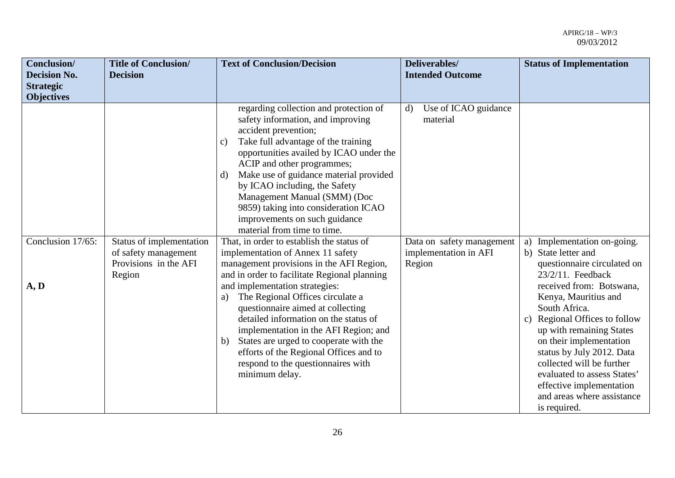| Conclusion/<br><b>Decision No.</b> | <b>Title of Conclusion/</b><br><b>Decision</b>                                      | <b>Text of Conclusion/Decision</b>                                                                                                                                                                                                                                                                                                                                                                                                                                                                                                                                                                                                                                                                                                                                                                                                                                                                                                                                                    | Deliverables/                                                                                                    | <b>Status of Implementation</b>                                                                                                                                                                                                                                                                                                                                                                                                              |
|------------------------------------|-------------------------------------------------------------------------------------|---------------------------------------------------------------------------------------------------------------------------------------------------------------------------------------------------------------------------------------------------------------------------------------------------------------------------------------------------------------------------------------------------------------------------------------------------------------------------------------------------------------------------------------------------------------------------------------------------------------------------------------------------------------------------------------------------------------------------------------------------------------------------------------------------------------------------------------------------------------------------------------------------------------------------------------------------------------------------------------|------------------------------------------------------------------------------------------------------------------|----------------------------------------------------------------------------------------------------------------------------------------------------------------------------------------------------------------------------------------------------------------------------------------------------------------------------------------------------------------------------------------------------------------------------------------------|
| <b>Strategic</b>                   |                                                                                     |                                                                                                                                                                                                                                                                                                                                                                                                                                                                                                                                                                                                                                                                                                                                                                                                                                                                                                                                                                                       | <b>Intended Outcome</b>                                                                                          |                                                                                                                                                                                                                                                                                                                                                                                                                                              |
| <b>Objectives</b>                  |                                                                                     |                                                                                                                                                                                                                                                                                                                                                                                                                                                                                                                                                                                                                                                                                                                                                                                                                                                                                                                                                                                       |                                                                                                                  |                                                                                                                                                                                                                                                                                                                                                                                                                                              |
| Conclusion 17/65:<br>A, D          | Status of implementation<br>of safety management<br>Provisions in the AFI<br>Region | regarding collection and protection of<br>safety information, and improving<br>accident prevention;<br>Take full advantage of the training<br>c)<br>opportunities availed by ICAO under the<br>ACIP and other programmes;<br>Make use of guidance material provided<br>d)<br>by ICAO including, the Safety<br>Management Manual (SMM) (Doc<br>9859) taking into consideration ICAO<br>improvements on such guidance<br>material from time to time.<br>That, in order to establish the status of<br>implementation of Annex 11 safety<br>management provisions in the AFI Region,<br>and in order to facilitate Regional planning<br>and implementation strategies:<br>The Regional Offices circulate a<br>a)<br>questionnaire aimed at collecting<br>detailed information on the status of<br>implementation in the AFI Region; and<br>States are urged to cooperate with the<br>b)<br>efforts of the Regional Offices and to<br>respond to the questionnaires with<br>minimum delay. | Use of ICAO guidance<br>$\mathbf{d}$<br>material<br>Data on safety management<br>implementation in AFI<br>Region | a) Implementation on-going.<br>b) State letter and<br>questionnaire circulated on<br>$23/2/11$ . Feedback<br>received from: Botswana,<br>Kenya, Mauritius and<br>South Africa.<br>Regional Offices to follow<br>c)<br>up with remaining States<br>on their implementation<br>status by July 2012. Data<br>collected will be further<br>evaluated to assess States'<br>effective implementation<br>and areas where assistance<br>is required. |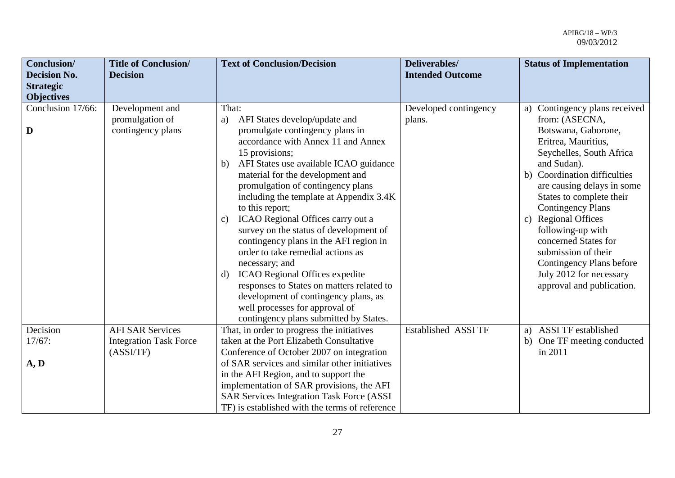| Conclusion/<br><b>Decision No.</b>    | <b>Title of Conclusion/</b><br><b>Decision</b>                       | <b>Text of Conclusion/Decision</b>                                                                                                                                                                                                                                                                                                                                                                                                                                                                                                                                                                                                                                                                                                      | Deliverables/<br><b>Intended Outcome</b> | <b>Status of Implementation</b>                                                                                                                                                                                                                                                                                                                                                                                                                                              |
|---------------------------------------|----------------------------------------------------------------------|-----------------------------------------------------------------------------------------------------------------------------------------------------------------------------------------------------------------------------------------------------------------------------------------------------------------------------------------------------------------------------------------------------------------------------------------------------------------------------------------------------------------------------------------------------------------------------------------------------------------------------------------------------------------------------------------------------------------------------------------|------------------------------------------|------------------------------------------------------------------------------------------------------------------------------------------------------------------------------------------------------------------------------------------------------------------------------------------------------------------------------------------------------------------------------------------------------------------------------------------------------------------------------|
| <b>Strategic</b><br><b>Objectives</b> |                                                                      |                                                                                                                                                                                                                                                                                                                                                                                                                                                                                                                                                                                                                                                                                                                                         |                                          |                                                                                                                                                                                                                                                                                                                                                                                                                                                                              |
| Conclusion 17/66:<br>D                | Development and<br>promulgation of<br>contingency plans              | That:<br>AFI States develop/update and<br>a)<br>promulgate contingency plans in<br>accordance with Annex 11 and Annex<br>15 provisions;<br>AFI States use available ICAO guidance<br>b)<br>material for the development and<br>promulgation of contingency plans<br>including the template at Appendix 3.4K<br>to this report;<br>ICAO Regional Offices carry out a<br>c)<br>survey on the status of development of<br>contingency plans in the AFI region in<br>order to take remedial actions as<br>necessary; and<br>ICAO Regional Offices expedite<br>$\mathbf{d}$<br>responses to States on matters related to<br>development of contingency plans, as<br>well processes for approval of<br>contingency plans submitted by States. | Developed contingency<br>plans.          | a) Contingency plans received<br>from: (ASECNA,<br>Botswana, Gaborone,<br>Eritrea, Mauritius,<br>Seychelles, South Africa<br>and Sudan).<br><b>Coordination difficulties</b><br>b)<br>are causing delays in some<br>States to complete their<br><b>Contingency Plans</b><br><b>Regional Offices</b><br>$\mathbf{c})$<br>following-up with<br>concerned States for<br>submission of their<br>Contingency Plans before<br>July 2012 for necessary<br>approval and publication. |
| Decision<br>17/67:<br>A, D            | <b>AFI SAR Services</b><br><b>Integration Task Force</b><br>(ASSVTF) | That, in order to progress the initiatives<br>taken at the Port Elizabeth Consultative<br>Conference of October 2007 on integration<br>of SAR services and similar other initiatives<br>in the AFI Region, and to support the<br>implementation of SAR provisions, the AFI<br><b>SAR Services Integration Task Force (ASSI)</b><br>TF) is established with the terms of reference                                                                                                                                                                                                                                                                                                                                                       | <b>Established ASSI TF</b>               | <b>ASSI TF established</b><br>a)<br>b) One TF meeting conducted<br>in 2011                                                                                                                                                                                                                                                                                                                                                                                                   |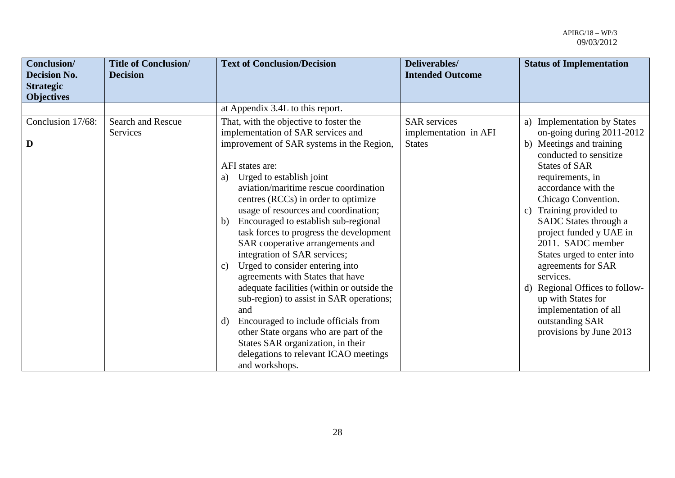| Conclusion/<br><b>Decision No.</b><br><b>Strategic</b><br><b>Objectives</b> | <b>Title of Conclusion/</b><br><b>Decision</b> | <b>Text of Conclusion/Decision</b>                                                                                                                                                                                                                                                                                                                                                                                                                                                                                                                                                                                                                                                                                                                                                                                                                   | Deliverables/<br><b>Intended Outcome</b>                      | <b>Status of Implementation</b>                                                                                                                                                                                                                                                                                                                                                                                                                                                                              |
|-----------------------------------------------------------------------------|------------------------------------------------|------------------------------------------------------------------------------------------------------------------------------------------------------------------------------------------------------------------------------------------------------------------------------------------------------------------------------------------------------------------------------------------------------------------------------------------------------------------------------------------------------------------------------------------------------------------------------------------------------------------------------------------------------------------------------------------------------------------------------------------------------------------------------------------------------------------------------------------------------|---------------------------------------------------------------|--------------------------------------------------------------------------------------------------------------------------------------------------------------------------------------------------------------------------------------------------------------------------------------------------------------------------------------------------------------------------------------------------------------------------------------------------------------------------------------------------------------|
|                                                                             |                                                | at Appendix 3.4L to this report.                                                                                                                                                                                                                                                                                                                                                                                                                                                                                                                                                                                                                                                                                                                                                                                                                     |                                                               |                                                                                                                                                                                                                                                                                                                                                                                                                                                                                                              |
| Conclusion 17/68:<br>D                                                      | Search and Rescue<br>Services                  | That, with the objective to foster the<br>implementation of SAR services and<br>improvement of SAR systems in the Region,<br>AFI states are:<br>Urged to establish joint<br>a)<br>aviation/maritime rescue coordination<br>centres (RCCs) in order to optimize<br>usage of resources and coordination;<br>Encouraged to establish sub-regional<br>b)<br>task forces to progress the development<br>SAR cooperative arrangements and<br>integration of SAR services;<br>Urged to consider entering into<br>$\mathbf{c})$<br>agreements with States that have<br>adequate facilities (within or outside the<br>sub-region) to assist in SAR operations;<br>and<br>Encouraged to include officials from<br>d)<br>other State organs who are part of the<br>States SAR organization, in their<br>delegations to relevant ICAO meetings<br>and workshops. | <b>SAR</b> services<br>implementation in AFI<br><b>States</b> | a) Implementation by States<br>on-going during 2011-2012<br>b) Meetings and training<br>conducted to sensitize<br><b>States of SAR</b><br>requirements, in<br>accordance with the<br>Chicago Convention.<br>c) Training provided to<br>SADC States through a<br>project funded y UAE in<br>2011. SADC member<br>States urged to enter into<br>agreements for SAR<br>services.<br>d) Regional Offices to follow-<br>up with States for<br>implementation of all<br>outstanding SAR<br>provisions by June 2013 |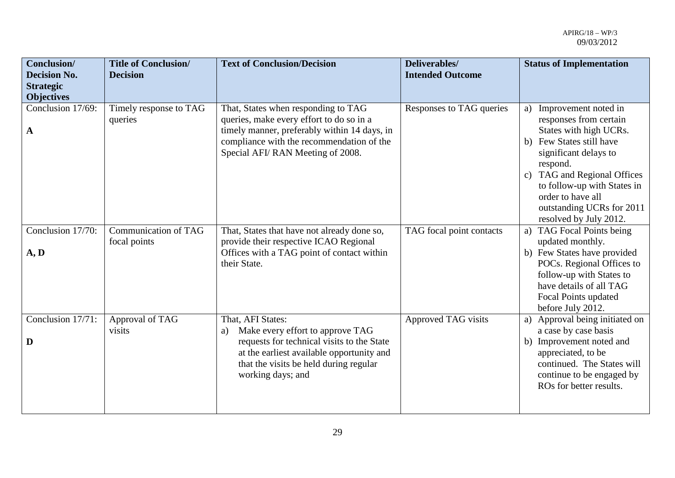| <b>Conclusion/</b><br><b>Decision No.</b><br><b>Strategic</b><br><b>Objectives</b> | <b>Title of Conclusion/</b><br><b>Decision</b> | <b>Text of Conclusion/Decision</b>                                                                                                                                                                                    | Deliverables/<br><b>Intended Outcome</b> | <b>Status of Implementation</b>                                                                                                                                                                                                                                                                           |
|------------------------------------------------------------------------------------|------------------------------------------------|-----------------------------------------------------------------------------------------------------------------------------------------------------------------------------------------------------------------------|------------------------------------------|-----------------------------------------------------------------------------------------------------------------------------------------------------------------------------------------------------------------------------------------------------------------------------------------------------------|
| Conclusion 17/69:<br>A                                                             | Timely response to TAG<br>queries              | That, States when responding to TAG<br>queries, make every effort to do so in a<br>timely manner, preferably within 14 days, in<br>compliance with the recommendation of the<br>Special AFI/RAN Meeting of 2008.      | Responses to TAG queries                 | Improvement noted in<br>a)<br>responses from certain<br>States with high UCRs.<br>Few States still have<br>b)<br>significant delays to<br>respond.<br>TAG and Regional Offices<br>$\mathbf{c}$<br>to follow-up with States in<br>order to have all<br>outstanding UCRs for 2011<br>resolved by July 2012. |
| Conclusion 17/70:<br>A, D                                                          | <b>Communication of TAG</b><br>focal points    | That, States that have not already done so,<br>provide their respective ICAO Regional<br>Offices with a TAG point of contact within<br>their State.                                                                   | TAG focal point contacts                 | <b>TAG Focal Points being</b><br>a)<br>updated monthly.<br>b) Few States have provided<br>POCs. Regional Offices to<br>follow-up with States to<br>have details of all TAG<br>Focal Points updated<br>before July 2012.                                                                                   |
| Conclusion 17/71:<br>D                                                             | Approval of TAG<br>visits                      | That, AFI States:<br>Make every effort to approve TAG<br>a)<br>requests for technical visits to the State<br>at the earliest available opportunity and<br>that the visits be held during regular<br>working days; and | Approved TAG visits                      | Approval being initiated on<br>a)<br>a case by case basis<br>b) Improvement noted and<br>appreciated, to be<br>continued. The States will<br>continue to be engaged by<br>ROs for better results.                                                                                                         |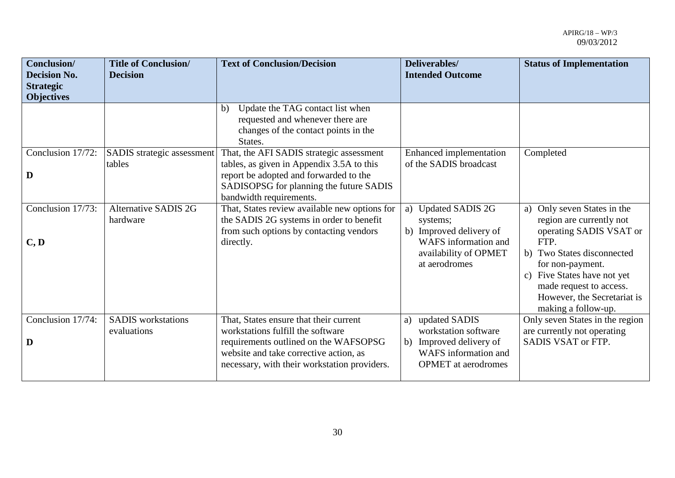| Conclusion/<br><b>Decision No.</b><br><b>Strategic</b><br><b>Objectives</b> | <b>Title of Conclusion/</b><br><b>Decision</b> | <b>Text of Conclusion/Decision</b>                                                                                                                                                                             | Deliverables/<br><b>Intended Outcome</b>                                                                                               | <b>Status of Implementation</b>                                                                                                                                                                                                                                            |
|-----------------------------------------------------------------------------|------------------------------------------------|----------------------------------------------------------------------------------------------------------------------------------------------------------------------------------------------------------------|----------------------------------------------------------------------------------------------------------------------------------------|----------------------------------------------------------------------------------------------------------------------------------------------------------------------------------------------------------------------------------------------------------------------------|
|                                                                             |                                                | Update the TAG contact list when<br>b)<br>requested and whenever there are<br>changes of the contact points in the<br>States.                                                                                  |                                                                                                                                        |                                                                                                                                                                                                                                                                            |
| Conclusion 17/72:<br>D                                                      | SADIS strategic assessment<br>tables           | That, the AFI SADIS strategic assessment<br>tables, as given in Appendix 3.5A to this<br>report be adopted and forwarded to the<br>SADISOPSG for planning the future SADIS<br>bandwidth requirements.          | <b>Enhanced</b> implementation<br>of the SADIS broadcast                                                                               | Completed                                                                                                                                                                                                                                                                  |
| Conclusion 17/73:<br>C, D                                                   | <b>Alternative SADIS 2G</b><br>hardware        | That, States review available new options for<br>the SADIS 2G systems in order to benefit<br>from such options by contacting vendors<br>directly.                                                              | <b>Updated SADIS 2G</b><br>a)<br>systems;<br>b) Improved delivery of<br>WAFS information and<br>availability of OPMET<br>at aerodromes | a) Only seven States in the<br>region are currently not<br>operating SADIS VSAT or<br>FTP.<br>b) Two States disconnected<br>for non-payment.<br>Five States have not yet<br>$\mathbf{c})$<br>made request to access.<br>However, the Secretariat is<br>making a follow-up. |
| Conclusion 17/74:<br>D                                                      | <b>SADIS</b> workstations<br>evaluations       | That, States ensure that their current<br>workstations fulfill the software<br>requirements outlined on the WAFSOPSG<br>website and take corrective action, as<br>necessary, with their workstation providers. | updated SADIS<br>a)<br>workstation software<br>Improved delivery of<br>b)<br>WAFS information and<br><b>OPMET</b> at aerodromes        | Only seven States in the region<br>are currently not operating<br>SADIS VSAT or FTP.                                                                                                                                                                                       |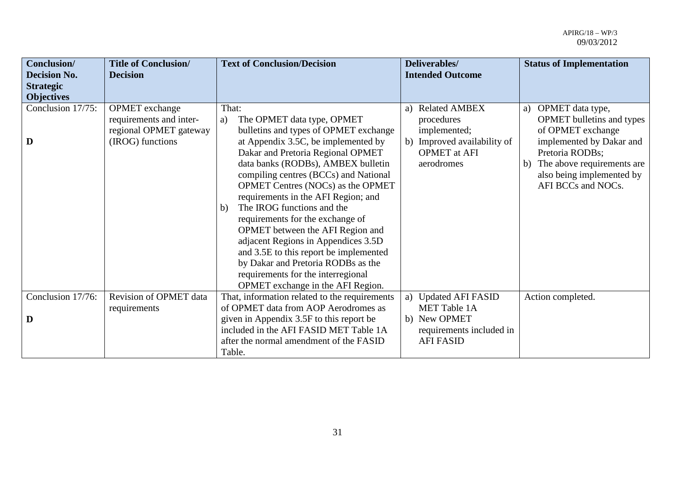| Conclusion/         | <b>Title of Conclusion/</b> | <b>Text of Conclusion/Decision</b>                                       | Deliverables/               | <b>Status of Implementation</b>                 |
|---------------------|-----------------------------|--------------------------------------------------------------------------|-----------------------------|-------------------------------------------------|
| <b>Decision No.</b> | <b>Decision</b>             |                                                                          | <b>Intended Outcome</b>     |                                                 |
| <b>Strategic</b>    |                             |                                                                          |                             |                                                 |
| <b>Objectives</b>   |                             |                                                                          |                             |                                                 |
| Conclusion 17/75:   | <b>OPMET</b> exchange       | That:                                                                    | a) Related AMBEX            | OPMET data type,<br>a)                          |
|                     | requirements and inter-     | The OPMET data type, OPMET<br>a)                                         | procedures                  | <b>OPMET</b> bulletins and types                |
|                     | regional OPMET gateway      | bulletins and types of OPMET exchange                                    | implemented;                | of OPMET exchange                               |
| D                   | (IROG) functions            | at Appendix 3.5C, be implemented by                                      | b) Improved availability of | implemented by Dakar and                        |
|                     |                             | Dakar and Pretoria Regional OPMET                                        | <b>OPMET</b> at AFI         | Pretoria RODBs;                                 |
|                     |                             | data banks (RODBs), AMBEX bulletin                                       | aerodromes                  | The above requirements are<br>b)                |
|                     |                             | compiling centres (BCCs) and National                                    |                             | also being implemented by<br>AFI BCCs and NOCs. |
|                     |                             | OPMET Centres (NOCs) as the OPMET<br>requirements in the AFI Region; and |                             |                                                 |
|                     |                             | The IROG functions and the<br>b)                                         |                             |                                                 |
|                     |                             | requirements for the exchange of                                         |                             |                                                 |
|                     |                             | OPMET between the AFI Region and                                         |                             |                                                 |
|                     |                             | adjacent Regions in Appendices 3.5D                                      |                             |                                                 |
|                     |                             | and 3.5E to this report be implemented                                   |                             |                                                 |
|                     |                             | by Dakar and Pretoria RODBs as the                                       |                             |                                                 |
|                     |                             | requirements for the interregional                                       |                             |                                                 |
|                     |                             | OPMET exchange in the AFI Region.                                        |                             |                                                 |
| Conclusion 17/76:   | Revision of OPMET data      | That, information related to the requirements                            | a) Updated AFI FASID        | Action completed.                               |
|                     | requirements                | of OPMET data from AOP Aerodromes as                                     | <b>MET Table 1A</b>         |                                                 |
| D                   |                             | given in Appendix 3.5F to this report be                                 | b) New OPMET                |                                                 |
|                     |                             | included in the AFI FASID MET Table 1A                                   | requirements included in    |                                                 |
|                     |                             | after the normal amendment of the FASID                                  | <b>AFI FASID</b>            |                                                 |
|                     |                             | Table.                                                                   |                             |                                                 |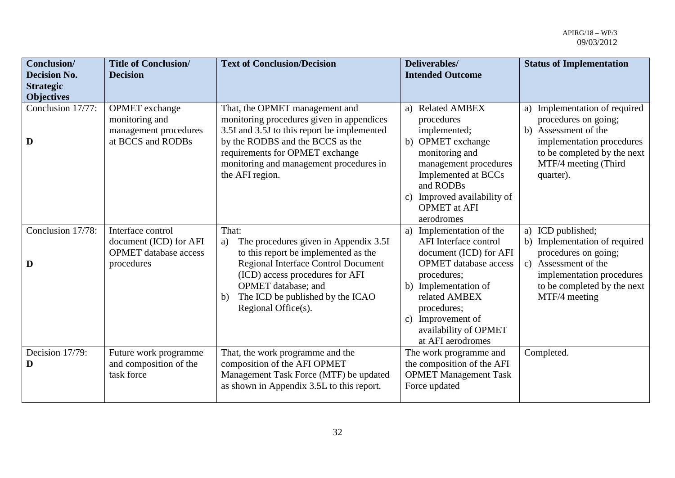| Conclusion/<br><b>Decision No.</b>    | <b>Title of Conclusion/</b><br><b>Decision</b>                                            | <b>Text of Conclusion/Decision</b>                                                                                                                                                                                                                              | Deliverables/<br><b>Intended Outcome</b>                                                                                                                                                                                                                 | <b>Status of Implementation</b>                                                                                                                                                                |
|---------------------------------------|-------------------------------------------------------------------------------------------|-----------------------------------------------------------------------------------------------------------------------------------------------------------------------------------------------------------------------------------------------------------------|----------------------------------------------------------------------------------------------------------------------------------------------------------------------------------------------------------------------------------------------------------|------------------------------------------------------------------------------------------------------------------------------------------------------------------------------------------------|
| <b>Strategic</b><br><b>Objectives</b> |                                                                                           |                                                                                                                                                                                                                                                                 |                                                                                                                                                                                                                                                          |                                                                                                                                                                                                |
| Conclusion 17/77:<br>D                | <b>OPMET</b> exchange<br>monitoring and<br>management procedures<br>at BCCS and RODBs     | That, the OPMET management and<br>monitoring procedures given in appendices<br>3.5I and 3.5J to this report be implemented<br>by the RODBS and the BCCS as the<br>requirements for OPMET exchange<br>monitoring and management procedures in<br>the AFI region. | a) Related AMBEX<br>procedures<br>implemented;<br>b) OPMET exchange<br>monitoring and<br>management procedures<br>Implemented at BCCs<br>and RODBs<br>Improved availability of<br>$\mathbf{c})$<br><b>OPMET</b> at AFI<br>aerodromes                     | a) Implementation of required<br>procedures on going;<br>Assessment of the<br>b)<br>implementation procedures<br>to be completed by the next<br>MTF/4 meeting (Third<br>quarter).              |
| Conclusion 17/78:<br>D                | Interface control<br>document (ICD) for AFI<br><b>OPMET</b> database access<br>procedures | That:<br>The procedures given in Appendix 3.5I<br>a)<br>to this report be implemented as the<br>Regional Interface Control Document<br>(ICD) access procedures for AFI<br>OPMET database; and<br>The ICD be published by the ICAO<br>b)<br>Regional Office(s).  | Implementation of the<br>a)<br>AFI Interface control<br>document (ICD) for AFI<br><b>OPMET</b> database access<br>procedures;<br>b) Implementation of<br>related AMBEX<br>procedures;<br>c) Improvement of<br>availability of OPMET<br>at AFI aerodromes | a) ICD published;<br>b) Implementation of required<br>procedures on going;<br>Assessment of the<br>$\mathbf{c}$ )<br>implementation procedures<br>to be completed by the next<br>MTF/4 meeting |
| Decision 17/79:<br>D                  | Future work programme<br>and composition of the<br>task force                             | That, the work programme and the<br>composition of the AFI OPMET<br>Management Task Force (MTF) be updated<br>as shown in Appendix 3.5L to this report.                                                                                                         | The work programme and<br>the composition of the AFI<br><b>OPMET Management Task</b><br>Force updated                                                                                                                                                    | Completed.                                                                                                                                                                                     |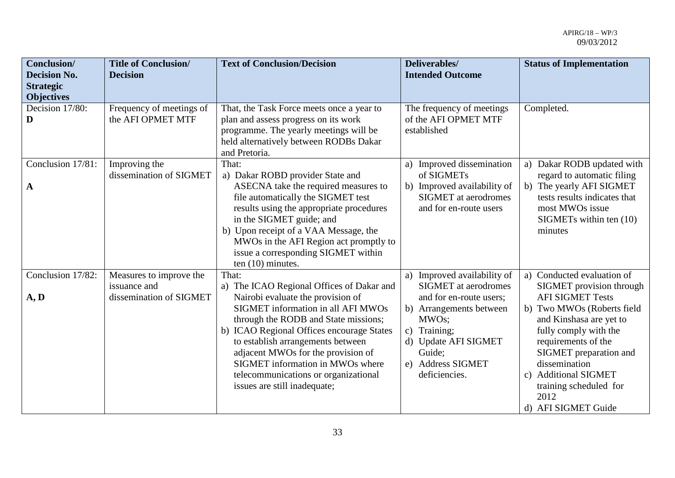| Conclusion/<br><b>Decision No.</b><br><b>Strategic</b><br><b>Objectives</b> | <b>Title of Conclusion/</b><br><b>Decision</b>                     | <b>Text of Conclusion/Decision</b>                                                                                                                                                                                                                                                                                                                                                                               | Deliverables/<br><b>Intended Outcome</b>                                                                                                                                                                          | <b>Status of Implementation</b>                                                                                                                                                                                                                                                                                                               |
|-----------------------------------------------------------------------------|--------------------------------------------------------------------|------------------------------------------------------------------------------------------------------------------------------------------------------------------------------------------------------------------------------------------------------------------------------------------------------------------------------------------------------------------------------------------------------------------|-------------------------------------------------------------------------------------------------------------------------------------------------------------------------------------------------------------------|-----------------------------------------------------------------------------------------------------------------------------------------------------------------------------------------------------------------------------------------------------------------------------------------------------------------------------------------------|
| Decision 17/80:<br>D                                                        | Frequency of meetings of<br>the AFI OPMET MTF                      | That, the Task Force meets once a year to<br>plan and assess progress on its work<br>programme. The yearly meetings will be<br>held alternatively between RODBs Dakar<br>and Pretoria.                                                                                                                                                                                                                           | The frequency of meetings<br>of the AFI OPMET MTF<br>established                                                                                                                                                  | Completed.                                                                                                                                                                                                                                                                                                                                    |
| Conclusion 17/81:<br>$\mathbf A$                                            | Improving the<br>dissemination of SIGMET                           | That:<br>a) Dakar ROBD provider State and<br>ASECNA take the required measures to<br>file automatically the SIGMET test<br>results using the appropriate procedures<br>in the SIGMET guide; and<br>b) Upon receipt of a VAA Message, the<br>MWOs in the AFI Region act promptly to<br>issue a corresponding SIGMET within<br>ten $(10)$ minutes.                                                                 | Improved dissemination<br>a)<br>of SIGMETs<br>b) Improved availability of<br><b>SIGMET</b> at aerodromes<br>and for en-route users                                                                                | Dakar RODB updated with<br>a)<br>regard to automatic filing<br>b) The yearly AFI SIGMET<br>tests results indicates that<br>most MWOs issue<br>SIGMETs within ten (10)<br>minutes                                                                                                                                                              |
| Conclusion 17/82:<br>A, D                                                   | Measures to improve the<br>issuance and<br>dissemination of SIGMET | That:<br>a) The ICAO Regional Offices of Dakar and<br>Nairobi evaluate the provision of<br><b>SIGMET</b> information in all AFI MWOs<br>through the RODB and State missions;<br>b) ICAO Regional Offices encourage States<br>to establish arrangements between<br>adjacent MWOs for the provision of<br>SIGMET information in MWOs where<br>telecommunications or organizational<br>issues are still inadequate; | a) Improved availability of<br><b>SIGMET</b> at aerodromes<br>and for en-route users;<br>b) Arrangements between<br>MWOs;<br>c) Training;<br>d) Update AFI SIGMET<br>Guide;<br>e) Address SIGMET<br>deficiencies. | a) Conducted evaluation of<br>SIGMET provision through<br><b>AFI SIGMET Tests</b><br>b) Two MWOs (Roberts field<br>and Kinshasa are yet to<br>fully comply with the<br>requirements of the<br>SIGMET preparation and<br>dissemination<br><b>Additional SIGMET</b><br>$\mathcal{C}$ )<br>training scheduled for<br>2012<br>d) AFI SIGMET Guide |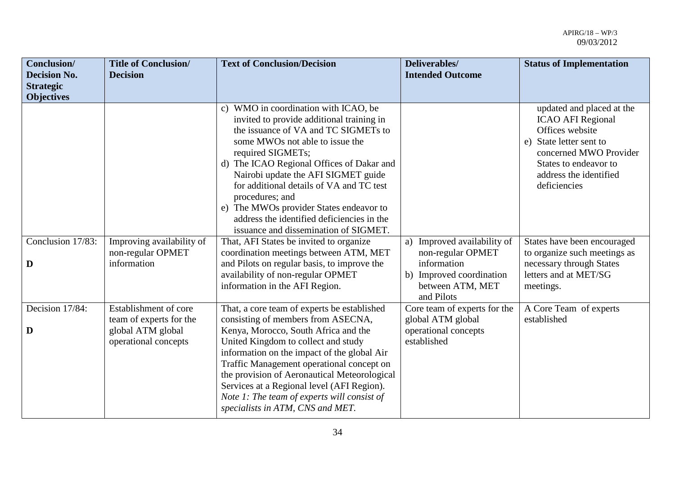| Conclusion/<br><b>Decision No.</b><br><b>Strategic</b> | <b>Title of Conclusion/</b><br><b>Decision</b>                                                | <b>Text of Conclusion/Decision</b>                                                                                                                                                                                                                                                                                                                                                                                                                                     | Deliverables/<br><b>Intended Outcome</b>                                                 | <b>Status of Implementation</b>                                                                                                                                                                     |
|--------------------------------------------------------|-----------------------------------------------------------------------------------------------|------------------------------------------------------------------------------------------------------------------------------------------------------------------------------------------------------------------------------------------------------------------------------------------------------------------------------------------------------------------------------------------------------------------------------------------------------------------------|------------------------------------------------------------------------------------------|-----------------------------------------------------------------------------------------------------------------------------------------------------------------------------------------------------|
| <b>Objectives</b>                                      |                                                                                               |                                                                                                                                                                                                                                                                                                                                                                                                                                                                        |                                                                                          |                                                                                                                                                                                                     |
|                                                        |                                                                                               | c) WMO in coordination with ICAO, be<br>invited to provide additional training in<br>the issuance of VA and TC SIGMETs to<br>some MWOs not able to issue the<br>required SIGMETs;<br>d) The ICAO Regional Offices of Dakar and<br>Nairobi update the AFI SIGMET guide<br>for additional details of VA and TC test<br>procedures; and<br>e) The MWOs provider States endeavor to<br>address the identified deficiencies in the<br>issuance and dissemination of SIGMET. |                                                                                          | updated and placed at the<br><b>ICAO AFI Regional</b><br>Offices website<br>State letter sent to<br>e)<br>concerned MWO Provider<br>States to endeavor to<br>address the identified<br>deficiencies |
| Conclusion 17/83:                                      | Improving availability of<br>non-regular OPMET                                                | That, AFI States be invited to organize<br>coordination meetings between ATM, MET                                                                                                                                                                                                                                                                                                                                                                                      | Improved availability of<br>a)<br>non-regular OPMET                                      | States have been encouraged<br>to organize such meetings as                                                                                                                                         |
| D                                                      | information                                                                                   | and Pilots on regular basis, to improve the<br>availability of non-regular OPMET                                                                                                                                                                                                                                                                                                                                                                                       | information<br>b) Improved coordination                                                  | necessary through States<br>letters and at MET/SG                                                                                                                                                   |
|                                                        |                                                                                               | information in the AFI Region.                                                                                                                                                                                                                                                                                                                                                                                                                                         | between ATM, MET<br>and Pilots                                                           | meetings.                                                                                                                                                                                           |
| Decision 17/84:<br>D                                   | Establishment of core<br>team of experts for the<br>global ATM global<br>operational concepts | That, a core team of experts be established<br>consisting of members from ASECNA,<br>Kenya, Morocco, South Africa and the<br>United Kingdom to collect and study<br>information on the impact of the global Air                                                                                                                                                                                                                                                        | Core team of experts for the<br>global ATM global<br>operational concepts<br>established | A Core Team of experts<br>established                                                                                                                                                               |
|                                                        |                                                                                               | Traffic Management operational concept on<br>the provision of Aeronautical Meteorological<br>Services at a Regional level (AFI Region).<br>Note 1: The team of experts will consist of<br>specialists in ATM, CNS and MET.                                                                                                                                                                                                                                             |                                                                                          |                                                                                                                                                                                                     |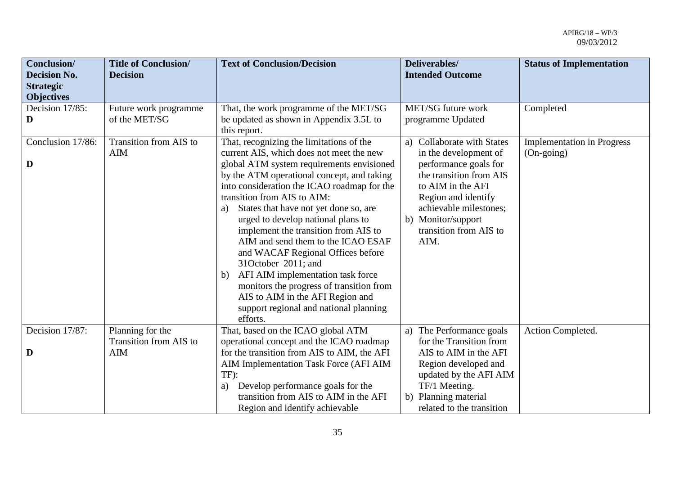| Conclusion/<br><b>Decision No.</b><br><b>Strategic</b><br><b>Objectives</b> | <b>Title of Conclusion/</b><br><b>Decision</b> | <b>Text of Conclusion/Decision</b>                                                                                                                                                                                                                                                                                                                                                                                                                                                                                                                                                                                                                                            | Deliverables/<br><b>Intended Outcome</b>                                                                                                                                                                                              | <b>Status of Implementation</b>                          |
|-----------------------------------------------------------------------------|------------------------------------------------|-------------------------------------------------------------------------------------------------------------------------------------------------------------------------------------------------------------------------------------------------------------------------------------------------------------------------------------------------------------------------------------------------------------------------------------------------------------------------------------------------------------------------------------------------------------------------------------------------------------------------------------------------------------------------------|---------------------------------------------------------------------------------------------------------------------------------------------------------------------------------------------------------------------------------------|----------------------------------------------------------|
| Decision 17/85:<br>D                                                        | Future work programme<br>of the MET/SG         | That, the work programme of the MET/SG<br>be updated as shown in Appendix 3.5L to<br>this report.                                                                                                                                                                                                                                                                                                                                                                                                                                                                                                                                                                             | MET/SG future work<br>programme Updated                                                                                                                                                                                               | Completed                                                |
| Conclusion 17/86:<br>D                                                      | Transition from AIS to<br>AIM                  | That, recognizing the limitations of the<br>current AIS, which does not meet the new<br>global ATM system requirements envisioned<br>by the ATM operational concept, and taking<br>into consideration the ICAO roadmap for the<br>transition from AIS to AIM:<br>States that have not yet done so, are<br>a)<br>urged to develop national plans to<br>implement the transition from AIS to<br>AIM and send them to the ICAO ESAF<br>and WACAF Regional Offices before<br>31October 2011; and<br>AFI AIM implementation task force<br>b)<br>monitors the progress of transition from<br>AIS to AIM in the AFI Region and<br>support regional and national planning<br>efforts. | a) Collaborate with States<br>in the development of<br>performance goals for<br>the transition from AIS<br>to AIM in the AFI<br>Region and identify<br>achievable milestones;<br>b) Monitor/support<br>transition from AIS to<br>AIM. | <b>Implementation in Progress</b><br>$(On\text{-going})$ |
| Decision 17/87:                                                             | Planning for the<br>Transition from AIS to     | That, based on the ICAO global ATM<br>operational concept and the ICAO roadmap                                                                                                                                                                                                                                                                                                                                                                                                                                                                                                                                                                                                | a) The Performance goals<br>for the Transition from                                                                                                                                                                                   | Action Completed.                                        |
| D                                                                           | <b>AIM</b>                                     | for the transition from AIS to AIM, the AFI<br>AIM Implementation Task Force (AFI AIM<br>TF):<br>Develop performance goals for the<br>a)<br>transition from AIS to AIM in the AFI<br>Region and identify achievable                                                                                                                                                                                                                                                                                                                                                                                                                                                           | AIS to AIM in the AFI<br>Region developed and<br>updated by the AFI AIM<br>TF/1 Meeting.<br>b) Planning material<br>related to the transition                                                                                         |                                                          |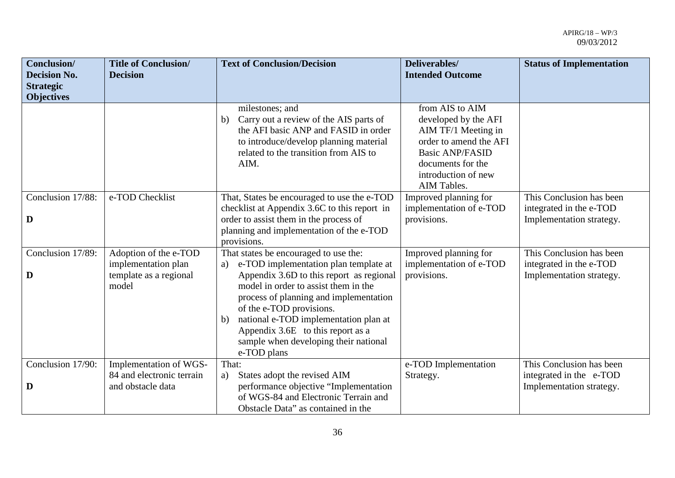| Conclusion/                           | <b>Title of Conclusion/</b> | <b>Text of Conclusion/Decision</b>                              | Deliverables/                           | <b>Status of Implementation</b> |
|---------------------------------------|-----------------------------|-----------------------------------------------------------------|-----------------------------------------|---------------------------------|
| <b>Decision No.</b>                   | <b>Decision</b>             |                                                                 | <b>Intended Outcome</b>                 |                                 |
| <b>Strategic</b><br><b>Objectives</b> |                             |                                                                 |                                         |                                 |
|                                       |                             | milestones; and<br>Carry out a review of the AIS parts of<br>b) | from AIS to AIM<br>developed by the AFI |                                 |
|                                       |                             | the AFI basic ANP and FASID in order                            | AIM TF/1 Meeting in                     |                                 |
|                                       |                             | to introduce/develop planning material                          | order to amend the AFI                  |                                 |
|                                       |                             | related to the transition from AIS to                           | <b>Basic ANP/FASID</b>                  |                                 |
|                                       |                             | AIM.                                                            | documents for the                       |                                 |
|                                       |                             |                                                                 | introduction of new                     |                                 |
|                                       |                             |                                                                 | AIM Tables.                             |                                 |
| Conclusion 17/88:                     | e-TOD Checklist             | That, States be encouraged to use the e-TOD                     | Improved planning for                   | This Conclusion has been        |
|                                       |                             | checklist at Appendix 3.6C to this report in                    | implementation of e-TOD                 | integrated in the e-TOD         |
| D                                     |                             | order to assist them in the process of                          | provisions.                             | Implementation strategy.        |
|                                       |                             | planning and implementation of the e-TOD<br>provisions.         |                                         |                                 |
| Conclusion 17/89:                     | Adoption of the e-TOD       | That states be encouraged to use the:                           | Improved planning for                   | This Conclusion has been        |
|                                       | implementation plan         | e-TOD implementation plan template at<br>a)                     | implementation of e-TOD                 | integrated in the e-TOD         |
| D                                     | template as a regional      | Appendix 3.6D to this report as regional                        | provisions.                             | Implementation strategy.        |
|                                       | model                       | model in order to assist them in the                            |                                         |                                 |
|                                       |                             | process of planning and implementation                          |                                         |                                 |
|                                       |                             | of the e-TOD provisions.                                        |                                         |                                 |
|                                       |                             | national e-TOD implementation plan at<br>b)                     |                                         |                                 |
|                                       |                             | Appendix 3.6E to this report as a                               |                                         |                                 |
|                                       |                             | sample when developing their national                           |                                         |                                 |
| Conclusion 17/90:                     | Implementation of WGS-      | e-TOD plans<br>That:                                            | e-TOD Implementation                    | This Conclusion has been        |
|                                       | 84 and electronic terrain   | States adopt the revised AIM<br>a)                              | Strategy.                               | integrated in the e-TOD         |
| D                                     | and obstacle data           | performance objective "Implementation                           |                                         | Implementation strategy.        |
|                                       |                             | of WGS-84 and Electronic Terrain and                            |                                         |                                 |
|                                       |                             | Obstacle Data" as contained in the                              |                                         |                                 |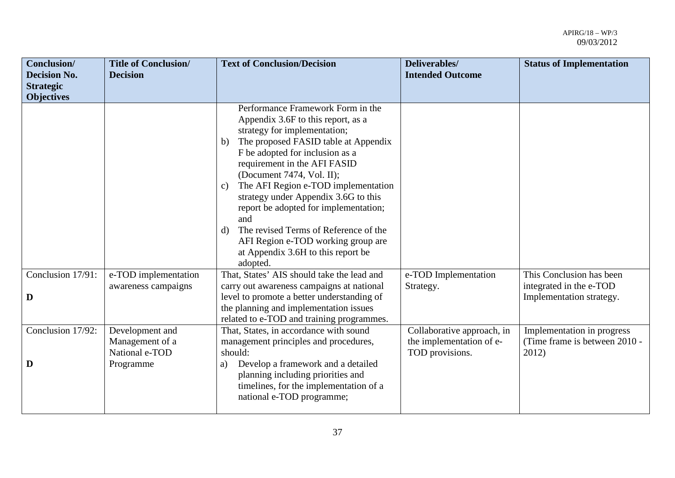| Conclusion/<br><b>Decision No.</b><br><b>Strategic</b> | <b>Title of Conclusion/</b><br><b>Decision</b>       | <b>Text of Conclusion/Decision</b>                                                                                                                                                                                                                                                                                                                                                                                                                                                                                                | Deliverables/<br><b>Intended Outcome</b>                                  | <b>Status of Implementation</b>                                      |
|--------------------------------------------------------|------------------------------------------------------|-----------------------------------------------------------------------------------------------------------------------------------------------------------------------------------------------------------------------------------------------------------------------------------------------------------------------------------------------------------------------------------------------------------------------------------------------------------------------------------------------------------------------------------|---------------------------------------------------------------------------|----------------------------------------------------------------------|
| <b>Objectives</b>                                      |                                                      |                                                                                                                                                                                                                                                                                                                                                                                                                                                                                                                                   |                                                                           |                                                                      |
|                                                        |                                                      | Performance Framework Form in the<br>Appendix 3.6F to this report, as a<br>strategy for implementation;<br>The proposed FASID table at Appendix<br>b)<br>F be adopted for inclusion as a<br>requirement in the AFI FASID<br>(Document 7474, Vol. II);<br>The AFI Region e-TOD implementation<br>C)<br>strategy under Appendix 3.6G to this<br>report be adopted for implementation;<br>and<br>The revised Terms of Reference of the<br>d)<br>AFI Region e-TOD working group are<br>at Appendix 3.6H to this report be<br>adopted. |                                                                           |                                                                      |
| Conclusion 17/91:                                      | e-TOD implementation                                 | That, States' AIS should take the lead and                                                                                                                                                                                                                                                                                                                                                                                                                                                                                        | e-TOD Implementation                                                      | This Conclusion has been                                             |
| D                                                      | awareness campaigns                                  | carry out awareness campaigns at national<br>level to promote a better understanding of<br>the planning and implementation issues<br>related to e-TOD and training programmes.                                                                                                                                                                                                                                                                                                                                                    | Strategy.                                                                 | integrated in the e-TOD<br>Implementation strategy.                  |
| Conclusion 17/92:                                      | Development and<br>Management of a<br>National e-TOD | That, States, in accordance with sound<br>management principles and procedures,<br>should:                                                                                                                                                                                                                                                                                                                                                                                                                                        | Collaborative approach, in<br>the implementation of e-<br>TOD provisions. | Implementation in progress<br>(Time frame is between 2010 -<br>2012) |
| D                                                      | Programme                                            | Develop a framework and a detailed<br>a)<br>planning including priorities and<br>timelines, for the implementation of a<br>national e-TOD programme;                                                                                                                                                                                                                                                                                                                                                                              |                                                                           |                                                                      |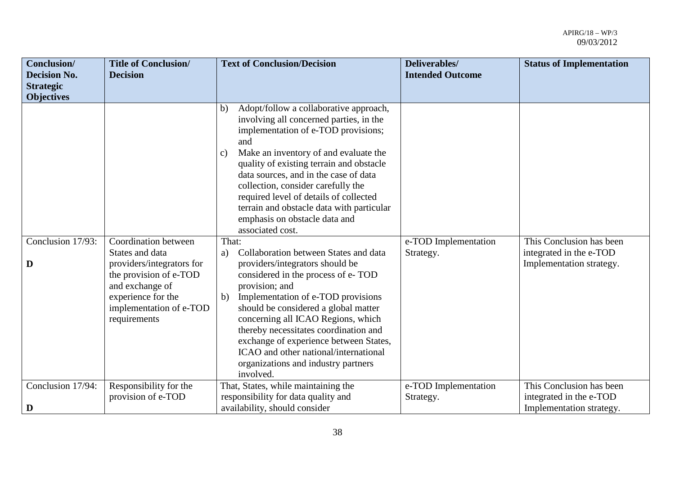| <b>Conclusion/</b><br><b>Decision No.</b><br><b>Strategic</b> | <b>Title of Conclusion/</b><br><b>Decision</b>                                                             | <b>Text of Conclusion/Decision</b>                                                                                                                                                                                                                                                                                                                                                                                                                                                                                                                               | Deliverables/<br><b>Intended Outcome</b> | <b>Status of Implementation</b>                                                 |
|---------------------------------------------------------------|------------------------------------------------------------------------------------------------------------|------------------------------------------------------------------------------------------------------------------------------------------------------------------------------------------------------------------------------------------------------------------------------------------------------------------------------------------------------------------------------------------------------------------------------------------------------------------------------------------------------------------------------------------------------------------|------------------------------------------|---------------------------------------------------------------------------------|
| <b>Objectives</b>                                             |                                                                                                            |                                                                                                                                                                                                                                                                                                                                                                                                                                                                                                                                                                  |                                          |                                                                                 |
| Conclusion 17/93:<br>D                                        | Coordination between<br>States and data<br>providers/integrators for                                       | Adopt/follow a collaborative approach,<br>b)<br>involving all concerned parties, in the<br>implementation of e-TOD provisions;<br>and<br>Make an inventory of and evaluate the<br>$\mathbf{c}$<br>quality of existing terrain and obstacle<br>data sources, and in the case of data<br>collection, consider carefully the<br>required level of details of collected<br>terrain and obstacle data with particular<br>emphasis on obstacle data and<br>associated cost.<br>That:<br>Collaboration between States and data<br>a)<br>providers/integrators should be | e-TOD Implementation<br>Strategy.        | This Conclusion has been<br>integrated in the e-TOD<br>Implementation strategy. |
|                                                               | the provision of e-TOD<br>and exchange of<br>experience for the<br>implementation of e-TOD<br>requirements | considered in the process of e-TOD<br>provision; and<br>Implementation of e-TOD provisions<br>b)<br>should be considered a global matter<br>concerning all ICAO Regions, which<br>thereby necessitates coordination and<br>exchange of experience between States,<br>ICAO and other national/international<br>organizations and industry partners<br>involved.                                                                                                                                                                                                   |                                          |                                                                                 |
| Conclusion 17/94:                                             | Responsibility for the                                                                                     | That, States, while maintaining the                                                                                                                                                                                                                                                                                                                                                                                                                                                                                                                              | e-TOD Implementation                     | This Conclusion has been                                                        |
| D                                                             | provision of e-TOD                                                                                         | responsibility for data quality and<br>availability, should consider                                                                                                                                                                                                                                                                                                                                                                                                                                                                                             | Strategy.                                | integrated in the e-TOD<br>Implementation strategy.                             |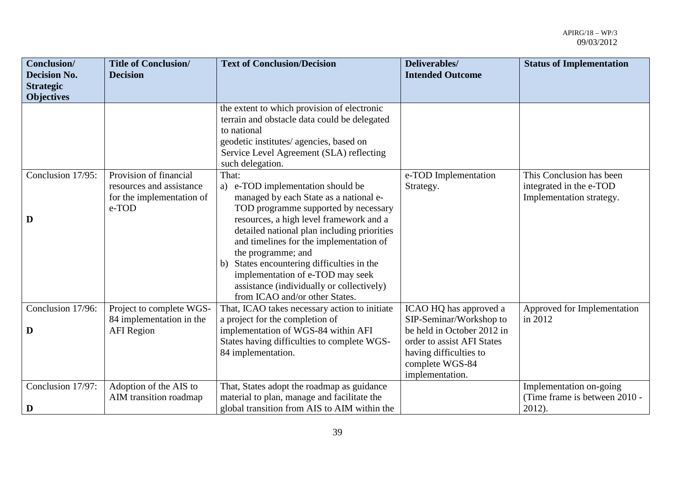| <b>Conclusion</b> /<br><b>Decision No.</b> | <b>Title of Conclusion/</b><br><b>Decision</b>                                           | <b>Text of Conclusion/Decision</b>                                                                                                                                                                                                                                                                                                                                                                                                                          | Deliverables/<br><b>Intended Outcome</b>                                                                                                                                      | <b>Status of Implementation</b>                                                 |
|--------------------------------------------|------------------------------------------------------------------------------------------|-------------------------------------------------------------------------------------------------------------------------------------------------------------------------------------------------------------------------------------------------------------------------------------------------------------------------------------------------------------------------------------------------------------------------------------------------------------|-------------------------------------------------------------------------------------------------------------------------------------------------------------------------------|---------------------------------------------------------------------------------|
| <b>Strategic</b><br><b>Objectives</b>      |                                                                                          |                                                                                                                                                                                                                                                                                                                                                                                                                                                             |                                                                                                                                                                               |                                                                                 |
|                                            |                                                                                          | the extent to which provision of electronic<br>terrain and obstacle data could be delegated<br>to national<br>geodetic institutes/ agencies, based on<br>Service Level Agreement (SLA) reflecting<br>such delegation.                                                                                                                                                                                                                                       |                                                                                                                                                                               |                                                                                 |
| Conclusion 17/95:<br>D                     | Provision of financial<br>resources and assistance<br>for the implementation of<br>e-TOD | That:<br>a) e-TOD implementation should be<br>managed by each State as a national e-<br>TOD programme supported by necessary<br>resources, a high level framework and a<br>detailed national plan including priorities<br>and timelines for the implementation of<br>the programme; and<br>States encountering difficulties in the<br>b)<br>implementation of e-TOD may seek<br>assistance (individually or collectively)<br>from ICAO and/or other States. | e-TOD Implementation<br>Strategy.                                                                                                                                             | This Conclusion has been<br>integrated in the e-TOD<br>Implementation strategy. |
| Conclusion 17/96:<br>D                     | Project to complete WGS-<br>84 implementation in the<br><b>AFI</b> Region                | That, ICAO takes necessary action to initiate<br>a project for the completion of<br>implementation of WGS-84 within AFI<br>States having difficulties to complete WGS-<br>84 implementation.                                                                                                                                                                                                                                                                | ICAO HQ has approved a<br>SIP-Seminar/Workshop to<br>be held in October 2012 in<br>order to assist AFI States<br>having difficulties to<br>complete WGS-84<br>implementation. | Approved for Implementation<br>in 2012                                          |
| Conclusion 17/97:<br>D                     | Adoption of the AIS to<br>AIM transition roadmap                                         | That, States adopt the roadmap as guidance<br>material to plan, manage and facilitate the<br>global transition from AIS to AIM within the                                                                                                                                                                                                                                                                                                                   |                                                                                                                                                                               | Implementation on-going<br>(Time frame is between 2010 -<br>2012).              |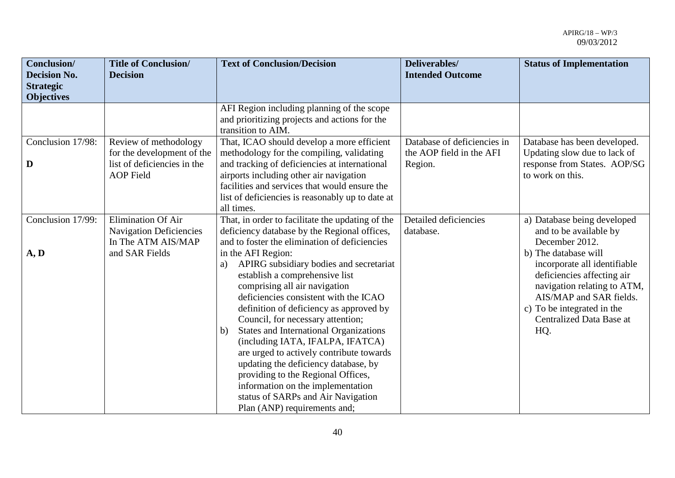| <b>Conclusion/</b><br><b>Decision No.</b><br><b>Strategic</b><br><b>Objectives</b> | <b>Title of Conclusion/</b><br><b>Decision</b>                                                         | <b>Text of Conclusion/Decision</b>                                                                                                                                                                                                                                                                                                                                                                                                                                                                                                                                        | Deliverables/<br><b>Intended Outcome</b>                           | <b>Status of Implementation</b>                                                                                                                                                              |
|------------------------------------------------------------------------------------|--------------------------------------------------------------------------------------------------------|---------------------------------------------------------------------------------------------------------------------------------------------------------------------------------------------------------------------------------------------------------------------------------------------------------------------------------------------------------------------------------------------------------------------------------------------------------------------------------------------------------------------------------------------------------------------------|--------------------------------------------------------------------|----------------------------------------------------------------------------------------------------------------------------------------------------------------------------------------------|
|                                                                                    |                                                                                                        | AFI Region including planning of the scope<br>and prioritizing projects and actions for the<br>transition to AIM.                                                                                                                                                                                                                                                                                                                                                                                                                                                         |                                                                    |                                                                                                                                                                                              |
| Conclusion 17/98:<br>D                                                             | Review of methodology<br>for the development of the<br>list of deficiencies in the<br><b>AOP</b> Field | That, ICAO should develop a more efficient<br>methodology for the compiling, validating<br>and tracking of deficiencies at international<br>airports including other air navigation<br>facilities and services that would ensure the<br>list of deficiencies is reasonably up to date at<br>all times.                                                                                                                                                                                                                                                                    | Database of deficiencies in<br>the AOP field in the AFI<br>Region. | Database has been developed.<br>Updating slow due to lack of<br>response from States. AOP/SG<br>to work on this.                                                                             |
| Conclusion 17/99:<br>$\mathbf{A}, \mathbf{D}$                                      | <b>Elimination Of Air</b><br><b>Navigation Deficiencies</b><br>In The ATM AIS/MAP<br>and SAR Fields    | That, in order to facilitate the updating of the<br>deficiency database by the Regional offices,<br>and to foster the elimination of deficiencies<br>in the AFI Region:                                                                                                                                                                                                                                                                                                                                                                                                   | Detailed deficiencies<br>database.                                 | a) Database being developed<br>and to be available by<br>December 2012.<br>b) The database will                                                                                              |
|                                                                                    |                                                                                                        | APIRG subsidiary bodies and secretariat<br>a)<br>establish a comprehensive list<br>comprising all air navigation<br>deficiencies consistent with the ICAO<br>definition of deficiency as approved by<br>Council, for necessary attention;<br><b>States and International Organizations</b><br>b)<br>(including IATA, IFALPA, IFATCA)<br>are urged to actively contribute towards<br>updating the deficiency database, by<br>providing to the Regional Offices,<br>information on the implementation<br>status of SARPs and Air Navigation<br>Plan (ANP) requirements and; |                                                                    | incorporate all identifiable<br>deficiencies affecting air<br>navigation relating to ATM,<br>AIS/MAP and SAR fields.<br>c) To be integrated in the<br><b>Centralized Data Base at</b><br>HQ. |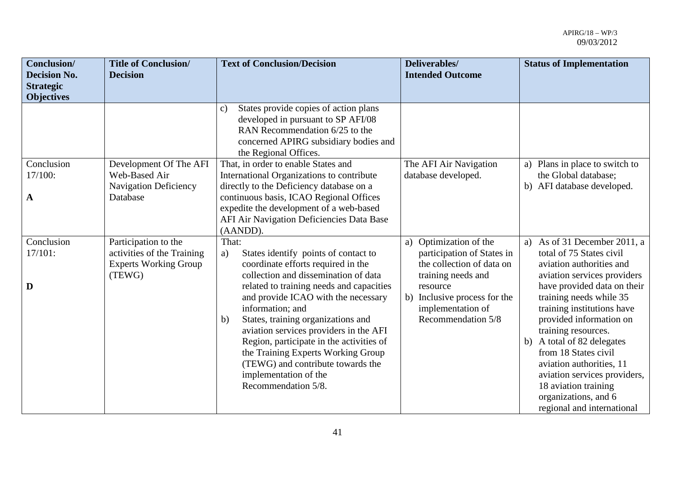| <b>Conclusion</b> /<br><b>Decision No.</b><br><b>Strategic</b><br><b>Objectives</b> | <b>Title of Conclusion/</b><br><b>Decision</b>                                               | <b>Text of Conclusion/Decision</b>                                                                                                                                                                                                                                                                                                                                                                                                                                                                    | Deliverables/<br><b>Intended Outcome</b>                                                                                                                                                       | <b>Status of Implementation</b>                                                                                                                                                                                                                                                                                                                                                                                                                                  |
|-------------------------------------------------------------------------------------|----------------------------------------------------------------------------------------------|-------------------------------------------------------------------------------------------------------------------------------------------------------------------------------------------------------------------------------------------------------------------------------------------------------------------------------------------------------------------------------------------------------------------------------------------------------------------------------------------------------|------------------------------------------------------------------------------------------------------------------------------------------------------------------------------------------------|------------------------------------------------------------------------------------------------------------------------------------------------------------------------------------------------------------------------------------------------------------------------------------------------------------------------------------------------------------------------------------------------------------------------------------------------------------------|
|                                                                                     |                                                                                              | States provide copies of action plans<br>c)<br>developed in pursuant to SP AFI/08<br>RAN Recommendation 6/25 to the<br>concerned APIRG subsidiary bodies and<br>the Regional Offices.                                                                                                                                                                                                                                                                                                                 |                                                                                                                                                                                                |                                                                                                                                                                                                                                                                                                                                                                                                                                                                  |
| Conclusion<br>17/100:<br>$\mathbf{A}$                                               | Development Of The AFI<br>Web-Based Air<br><b>Navigation Deficiency</b><br>Database          | That, in order to enable States and<br>International Organizations to contribute<br>directly to the Deficiency database on a<br>continuous basis, ICAO Regional Offices<br>expedite the development of a web-based<br>AFI Air Navigation Deficiencies Data Base<br>(AANDD).                                                                                                                                                                                                                           | The AFI Air Navigation<br>database developed.                                                                                                                                                  | Plans in place to switch to<br>a)<br>the Global database;<br>b) AFI database developed.                                                                                                                                                                                                                                                                                                                                                                          |
| Conclusion<br>$17/101$ :<br>D                                                       | Participation to the<br>activities of the Training<br><b>Experts Working Group</b><br>(TEWG) | That:<br>States identify points of contact to<br>a)<br>coordinate efforts required in the<br>collection and dissemination of data<br>related to training needs and capacities<br>and provide ICAO with the necessary<br>information; and<br>States, training organizations and<br>b)<br>aviation services providers in the AFI<br>Region, participate in the activities of<br>the Training Experts Working Group<br>(TEWG) and contribute towards the<br>implementation of the<br>Recommendation 5/8. | a) Optimization of the<br>participation of States in<br>the collection of data on<br>training needs and<br>resource<br>b) Inclusive process for the<br>implementation of<br>Recommendation 5/8 | a) As of 31 December 2011, a<br>total of 75 States civil<br>aviation authorities and<br>aviation services providers<br>have provided data on their<br>training needs while 35<br>training institutions have<br>provided information on<br>training resources.<br>A total of 82 delegates<br>b)<br>from 18 States civil<br>aviation authorities, 11<br>aviation services providers,<br>18 aviation training<br>organizations, and 6<br>regional and international |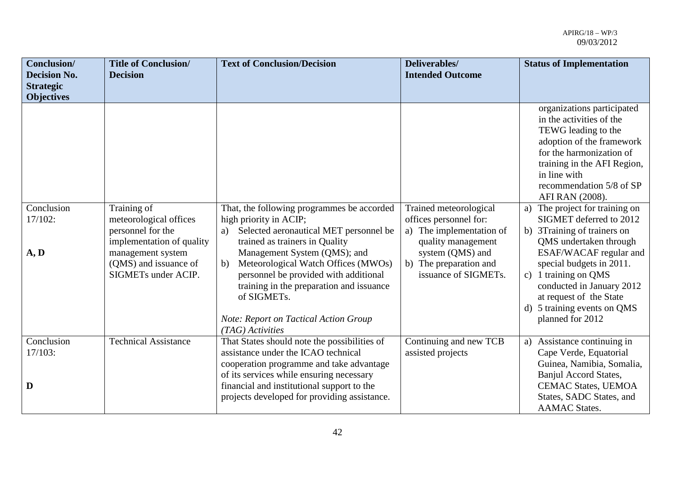| Conclusion/<br><b>Decision No.</b><br><b>Strategic</b> | <b>Title of Conclusion/</b><br><b>Decision</b>                                                                      | <b>Text of Conclusion/Decision</b>                                                                                                                                                                                                                                                                                           | Deliverables/<br><b>Intended Outcome</b>                                                                             | <b>Status of Implementation</b>                                                                                                                                                                                                                                                                      |
|--------------------------------------------------------|---------------------------------------------------------------------------------------------------------------------|------------------------------------------------------------------------------------------------------------------------------------------------------------------------------------------------------------------------------------------------------------------------------------------------------------------------------|----------------------------------------------------------------------------------------------------------------------|------------------------------------------------------------------------------------------------------------------------------------------------------------------------------------------------------------------------------------------------------------------------------------------------------|
| <b>Objectives</b><br>Conclusion<br>17/102:             | Training of<br>meteorological offices                                                                               | That, the following programmes be accorded<br>high priority in ACIP;                                                                                                                                                                                                                                                         | Trained meteorological<br>offices personnel for:                                                                     | organizations participated<br>in the activities of the<br>TEWG leading to the<br>adoption of the framework<br>for the harmonization of<br>training in the AFI Region,<br>in line with<br>recommendation 5/8 of SP<br>AFI RAN (2008).<br>The project for training on<br>a)<br>SIGMET deferred to 2012 |
| A, D                                                   | personnel for the<br>implementation of quality<br>management system<br>(QMS) and issuance of<br>SIGMETs under ACIP. | Selected aeronautical MET personnel be<br>a)<br>trained as trainers in Quality<br>Management System (QMS); and<br>Meteorological Watch Offices (MWOs)<br>b)<br>personnel be provided with additional<br>training in the preparation and issuance<br>of SIGMETs.<br>Note: Report on Tactical Action Group<br>(TAG) Activities | a) The implementation of<br>quality management<br>system (QMS) and<br>b) The preparation and<br>issuance of SIGMETs. | b) 3Training of trainers on<br>QMS undertaken through<br>ESAF/WACAF regular and<br>special budgets in 2011.<br>c) 1 training on QMS<br>conducted in January 2012<br>at request of the State<br>d) 5 training events on QMS<br>planned for 2012                                                       |
| Conclusion<br>17/103:<br>D                             | <b>Technical Assistance</b>                                                                                         | That States should note the possibilities of<br>assistance under the ICAO technical<br>cooperation programme and take advantage<br>of its services while ensuring necessary<br>financial and institutional support to the<br>projects developed for providing assistance.                                                    | Continuing and new TCB<br>assisted projects                                                                          | Assistance continuing in<br>a)<br>Cape Verde, Equatorial<br>Guinea, Namibia, Somalia,<br>Banjul Accord States,<br><b>CEMAC States, UEMOA</b><br>States, SADC States, and<br><b>AAMAC</b> States.                                                                                                     |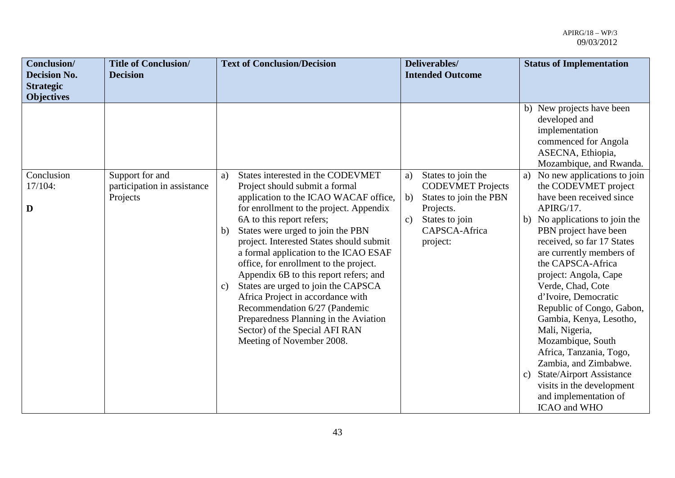| Conclusion/<br><b>Decision No.</b>    | <b>Title of Conclusion/</b><br><b>Decision</b>             | <b>Text of Conclusion/Decision</b>                                                                                                                                                                                                                                                                                                                                                                                                                                                                                                                                                                                                        | Deliverables/<br><b>Intended Outcome</b>                                                                                                                         | <b>Status of Implementation</b>                                                                                                                                                                                                                                                                                                                                                                                                                                                                                                                                                      |
|---------------------------------------|------------------------------------------------------------|-------------------------------------------------------------------------------------------------------------------------------------------------------------------------------------------------------------------------------------------------------------------------------------------------------------------------------------------------------------------------------------------------------------------------------------------------------------------------------------------------------------------------------------------------------------------------------------------------------------------------------------------|------------------------------------------------------------------------------------------------------------------------------------------------------------------|--------------------------------------------------------------------------------------------------------------------------------------------------------------------------------------------------------------------------------------------------------------------------------------------------------------------------------------------------------------------------------------------------------------------------------------------------------------------------------------------------------------------------------------------------------------------------------------|
| <b>Strategic</b><br><b>Objectives</b> |                                                            |                                                                                                                                                                                                                                                                                                                                                                                                                                                                                                                                                                                                                                           |                                                                                                                                                                  |                                                                                                                                                                                                                                                                                                                                                                                                                                                                                                                                                                                      |
|                                       |                                                            |                                                                                                                                                                                                                                                                                                                                                                                                                                                                                                                                                                                                                                           |                                                                                                                                                                  | b) New projects have been<br>developed and<br>implementation<br>commenced for Angola<br>ASECNA, Ethiopia,<br>Mozambique, and Rwanda.                                                                                                                                                                                                                                                                                                                                                                                                                                                 |
| Conclusion<br>17/104:<br>D            | Support for and<br>participation in assistance<br>Projects | States interested in the CODEVMET<br>a)<br>Project should submit a formal<br>application to the ICAO WACAF office,<br>for enrollment to the project. Appendix<br>6A to this report refers;<br>States were urged to join the PBN<br>b)<br>project. Interested States should submit<br>a formal application to the ICAO ESAF<br>office, for enrollment to the project.<br>Appendix 6B to this report refers; and<br>States are urged to join the CAPSCA<br>C)<br>Africa Project in accordance with<br>Recommendation 6/27 (Pandemic<br>Preparedness Planning in the Aviation<br>Sector) of the Special AFI RAN<br>Meeting of November 2008. | States to join the<br>a)<br><b>CODEVMET Projects</b><br>States to join the PBN<br>b)<br>Projects.<br>States to join<br>$\mathbf{c}$<br>CAPSCA-Africa<br>project: | a) No new applications to join<br>the CODEVMET project<br>have been received since<br>APIRG/17.<br>No applications to join the<br>b)<br>PBN project have been<br>received, so far 17 States<br>are currently members of<br>the CAPSCA-Africa<br>project: Angola, Cape<br>Verde, Chad, Cote<br>d'Ivoire, Democratic<br>Republic of Congo, Gabon,<br>Gambia, Kenya, Lesotho,<br>Mali, Nigeria,<br>Mozambique, South<br>Africa, Tanzania, Togo,<br>Zambia, and Zimbabwe.<br><b>State/Airport Assistance</b><br>c)<br>visits in the development<br>and implementation of<br>ICAO and WHO |